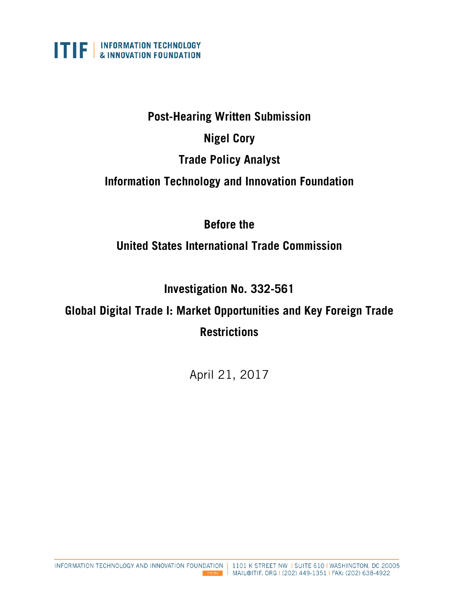

## **Post-Hearing Written Submission**

## **Nigel Cory**

## **Trade Policy Analyst**

## **Information Technology and Innovation Foundation**

## **Before the**

## **United States International Trade Commission**

# **Investigation No. 332-561**

# **Global Digital Trade I: Market Opportunities and Key Foreign Trade Restrictions**

April 21, 2017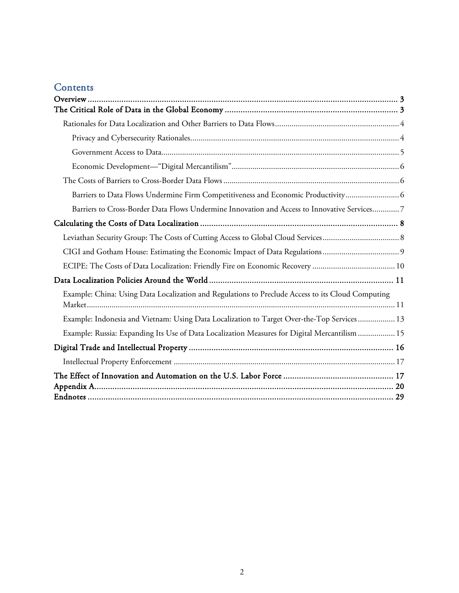## **Contents**

| Barriers to Data Flows Undermine Firm Competitiveness and Economic Productivity 6                 |
|---------------------------------------------------------------------------------------------------|
| Barriers to Cross-Border Data Flows Undermine Innovation and Access to Innovative Services7       |
|                                                                                                   |
|                                                                                                   |
|                                                                                                   |
|                                                                                                   |
|                                                                                                   |
| Example: China: Using Data Localization and Regulations to Preclude Access to its Cloud Computing |
| Example: Indonesia and Vietnam: Using Data Localization to Target Over-the-Top Services 13        |
| Example: Russia: Expanding Its Use of Data Localization Measures for Digital Mercantilism  15     |
|                                                                                                   |
|                                                                                                   |
|                                                                                                   |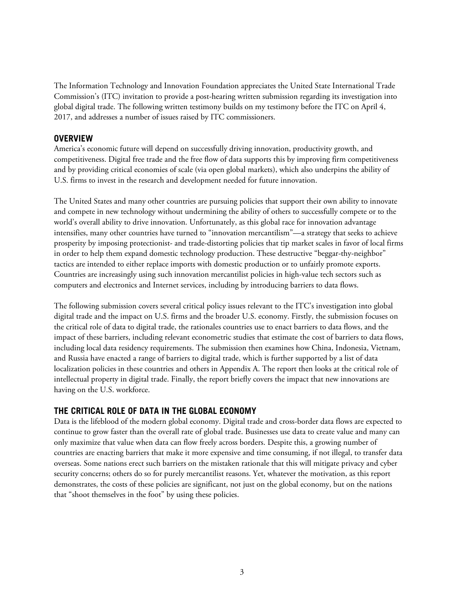The Information Technology and Innovation Foundation appreciates the United State International Trade Commission's (ITC) invitation to provide a post-hearing written submission regarding its investigation into global digital trade. The following written testimony builds on my testimony before the ITC on April 4, 2017, and addresses a number of issues raised by ITC commissioners.

### <span id="page-2-0"></span>**OVERVIEW**

America's economic future will depend on successfully driving innovation, productivity growth, and competitiveness. Digital free trade and the free flow of data supports this by improving firm competitiveness and by providing critical economies of scale (via open global markets), which also underpins the ability of U.S. firms to invest in the research and development needed for future innovation.

The United States and many other countries are pursuing policies that support their own ability to innovate and compete in new technology without undermining the ability of others to successfully compete or to the world's overall ability to drive innovation. Unfortunately, as this global race for innovation advantage intensifies, many other countries have turned to "innovation mercantilism"—a strategy that seeks to achieve prosperity by imposing protectionist- and trade-distorting policies that tip market scales in favor of local firms in order to help them expand domestic technology production. These destructive "beggar-thy-neighbor" tactics are intended to either replace imports with domestic production or to unfairly promote exports. Countries are increasingly using such innovation mercantilist policies in high-value tech sectors such as computers and electronics and Internet services, including by introducing barriers to data flows.

The following submission covers several critical policy issues relevant to the ITC's investigation into global digital trade and the impact on U.S. firms and the broader U.S. economy. Firstly, the submission focuses on the critical role of data to digital trade, the rationales countries use to enact barriers to data flows, and the impact of these barriers, including relevant econometric studies that estimate the cost of barriers to data flows, including local data residency requirements. The submission then examines how China, Indonesia, Vietnam, and Russia have enacted a range of barriers to digital trade, which is further supported by a list of data localization policies in these countries and others in Appendix A. The report then looks at the critical role of intellectual property in digital trade. Finally, the report briefly covers the impact that new innovations are having on the U.S. workforce.

### <span id="page-2-1"></span>**THE CRITICAL ROLE OF DATA IN THE GLOBAL ECONOMY**

Data is the lifeblood of the modern global economy. Digital trade and cross-border data flows are expected to continue to grow faster than the overall rate of global trade. Businesses use data to create value and many can only maximize that value when data can flow freely across borders. Despite this, a growing number of countries are enacting barriers that make it more expensive and time consuming, if not illegal, to transfer data overseas. Some nations erect such barriers on the mistaken rationale that this will mitigate privacy and cyber security concerns; others do so for purely mercantilist reasons. Yet, whatever the motivation, as this report demonstrates, the costs of these policies are significant, not just on the global economy, but on the nations that "shoot themselves in the foot" by using these policies.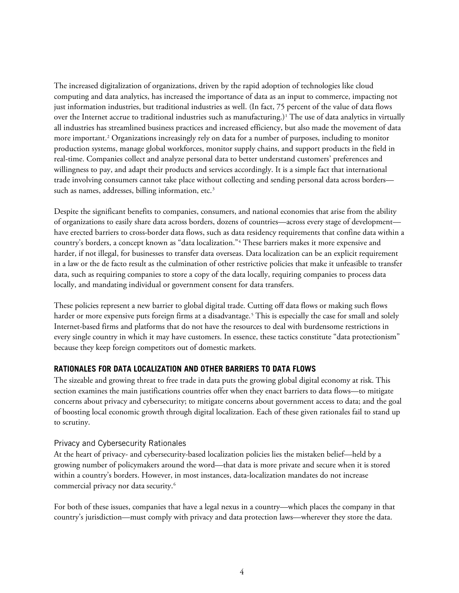The increased digitalization of organizations, driven by the rapid adoption of technologies like cloud computing and data analytics, has increased the importance of data as an input to commerce, impacting not just information industries, but traditional industries as well. (In fact, 75 percent of the value of data flows over the Internet accrue to traditional industries such as manufacturing.)<sup>[1](#page-28-1)</sup> The use of data analytics in virtually all industries has streamlined business practices and increased efficiency, but also made the movement of data more important.[2](#page-28-2) Organizations increasingly rely on data for a number of purposes, including to monitor production systems, manage global workforces, monitor supply chains, and support products in the field in real-time. Companies collect and analyze personal data to better understand customers' preferences and willingness to pay, and adapt their products and services accordingly. It is a simple fact that international trade involving consumers cannot take place without collecting and sending personal data across borders— such as names, addresses, billing information, etc.<sup>[3](#page-28-3)</sup>

Despite the significant benefits to companies, consumers, and national economies that arise from the ability of organizations to easily share data across borders, dozens of countries—across every stage of development have erected barriers to cross-border data flows, such as data residency requirements that confine data within a country's borders, a concept known as "data localization."[4](#page-28-4) These barriers makes it more expensive and harder, if not illegal, for businesses to transfer data overseas. Data localization can be an explicit requirement in a law or the de facto result as the culmination of other restrictive policies that make it unfeasible to transfer data, such as requiring companies to store a copy of the data locally, requiring companies to process data locally, and mandating individual or government consent for data transfers.

These policies represent a new barrier to global digital trade. Cutting off data flows or making such flows harder or more expensive puts foreign firms at a disadvantage.<sup>[5](#page-28-5)</sup> This is especially the case for small and solely Internet-based firms and platforms that do not have the resources to deal with burdensome restrictions in every single country in which it may have customers. In essence, these tactics constitute "data protectionism" because they keep foreign competitors out of domestic markets.

### <span id="page-3-0"></span>**RATIONALES FOR DATA LOCALIZATION AND OTHER BARRIERS TO DATA FLOWS**

The sizeable and growing threat to free trade in data puts the growing global digital economy at risk. This section examines the main justifications countries offer when they enact barriers to data flows—to mitigate concerns about privacy and cybersecurity; to mitigate concerns about government access to data; and the goal of boosting local economic growth through digital localization. Each of these given rationales fail to stand up to scrutiny.

#### <span id="page-3-1"></span>Privacy and Cybersecurity Rationales

At the heart of privacy- and cybersecurity-based localization policies lies the mistaken belief—held by a growing number of policymakers around the word—that data is more private and secure when it is stored within a country's borders. However, in most instances, data-localization mandates do not increase commercial privacy nor data security[.6](#page-28-6)

For both of these issues, companies that have a legal nexus in a country—which places the company in that country's jurisdiction—must comply with privacy and data protection laws—wherever they store the data.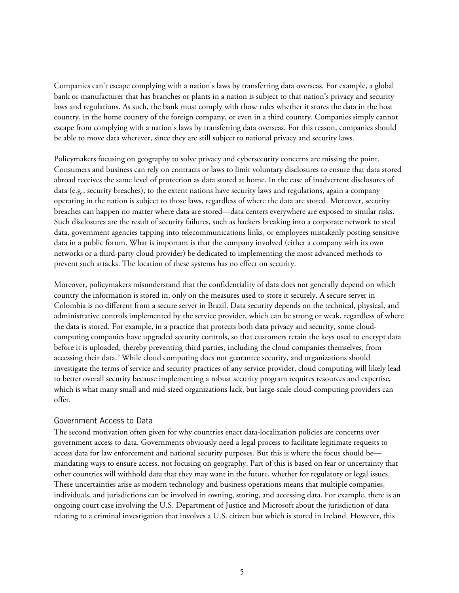Companies can't escape complying with a nation's laws by transferring data overseas. For example, a global bank or manufacturer that has branches or plants in a nation is subject to that nation's privacy and security laws and regulations. As such, the bank must comply with those rules whether it stores the data in the host country, in the home country of the foreign company, or even in a third country. Companies simply cannot escape from complying with a nation's laws by transferring data overseas. For this reason, companies should be able to move data wherever, since they are still subject to national privacy and security laws.

Policymakers focusing on geography to solve privacy and cybersecurity concerns are missing the point. Consumers and business can rely on contracts or laws to limit voluntary disclosures to ensure that data stored abroad receives the same level of protection as data stored at home. In the case of inadvertent disclosures of data (e.g., security breaches), to the extent nations have security laws and regulations, again a company operating in the nation is subject to those laws, regardless of where the data are stored. Moreover, security breaches can happen no matter where data are stored—data centers everywhere are exposed to similar risks. Such disclosures are the result of security failures, such as hackers breaking into a corporate network to steal data, government agencies tapping into telecommunications links, or employees mistakenly posting sensitive data in a public forum. What is important is that the company involved (either a company with its own networks or a third-party cloud provider) be dedicated to implementing the most advanced methods to prevent such attacks. The location of these systems has no effect on security.

Moreover, policymakers misunderstand that the confidentiality of data does not generally depend on which country the information is stored in, only on the measures used to store it securely. A secure server in Colombia is no different from a secure server in Brazil. Data security depends on the technical, physical, and administrative controls implemented by the service provider, which can be strong or weak, regardless of where the data is stored. For example, in a practice that protects both data privacy and security, some cloudcomputing companies have upgraded security controls, so that customers retain the keys used to encrypt data before it is uploaded, thereby preventing third parties, including the cloud companies themselves, from accessing their data.[7](#page-28-7) While cloud computing does not guarantee security, and organizations should investigate the terms of service and security practices of any service provider, cloud computing will likely lead to better overall security because implementing a robust security program requires resources and expertise, which is what many small and mid-sized organizations lack, but large-scale cloud-computing providers can offer.

#### <span id="page-4-0"></span>Government Access to Data

The second motivation often given for why countries enact data-localization policies are concerns over government access to data. Governments obviously need a legal process to facilitate legitimate requests to access data for law enforcement and national security purposes. But this is where the focus should be mandating ways to ensure access, not focusing on geography. Part of this is based on fear or uncertainty that other countries will withhold data that they may want in the future, whether for regulatory or legal issues. These uncertainties arise as modern technology and business operations means that multiple companies, individuals, and jurisdictions can be involved in owning, storing, and accessing data. For example, there is an ongoing court case involving the U.S. Department of Justice and Microsoft about the jurisdiction of data relating to a criminal investigation that involves a U.S. citizen but which is stored in Ireland. However, this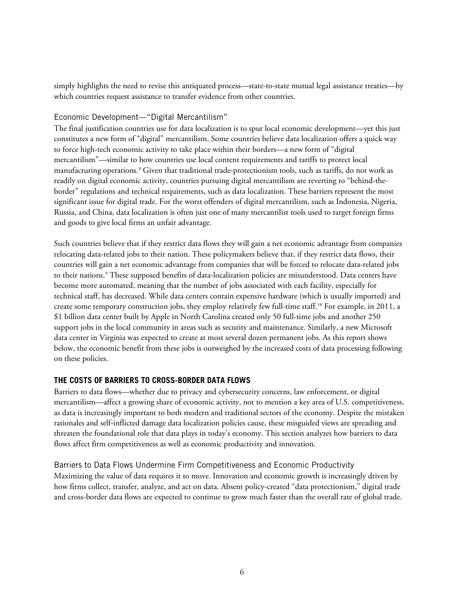simply highlights the need to revise this antiquated process—state-to-state mutual legal assistance treaties—by which countries request assistance to transfer evidence from other countries.

### <span id="page-5-0"></span>Economic Development—"Digital Mercantilism"

The final justification countries use for data localization is to spur local economic development—yet this just constitutes a new form of "digital" mercantilism. Some countries believe data localization offers a quick way to force high-tech economic activity to take place within their borders—a new form of "digital mercantilism"—similar to how countries use local content requirements and tariffs to protect local manufacturing operations.<sup>[8](#page-28-8)</sup> Given that traditional trade-protectionism tools, such as tariffs, do not work as readily on digital economic activity, countries pursuing digital mercantilism are reverting to "behind-theborder" regulations and technical requirements, such as data localization. These barriers represent the most significant issue for digital trade. For the worst offenders of digital mercantilism, such as Indonesia, Nigeria, Russia, and China, data localization is often just one of many mercantilist tools used to target foreign firms and goods to give local firms an unfair advantage.

Such countries believe that if they restrict data flows they will gain a net economic advantage from companies relocating data-related jobs to their nation. These policymakers believe that, if they restrict data flows, their countries will gain a net economic advantage from companies that will be forced to relocate data-related jobs to their nations.<sup>[9](#page-28-9)</sup> These supposed benefits of data-localization policies are misunderstood. Data centers have become more automated, meaning that the number of jobs associated with each facility, especially for technical staff, has decreased. While data centers contain expensive hardware (which is usually imported) and create some temporary construction jobs, they employ relatively few full-time staff.[10](#page-28-10) For example, in 2011, a \$1 billion data center built by Apple in North Carolina created only 50 full-time jobs and another 250 support jobs in the local community in areas such as security and maintenance. Similarly, a new Microsoft data center in Virginia was expected to create at most several dozen permanent jobs. As this report shows below, the economic benefit from these jobs is outweighed by the increased costs of data processing following on these policies.

### <span id="page-5-1"></span>**THE COSTS OF BARRIERS TO CROSS-BORDER DATA FLOWS**

Barriers to data flows—whether due to privacy and cybersecurity concerns, law enforcement, or digital mercantilism—affect a growing share of economic activity, not to mention a key area of U.S. competitiveness, as data is increasingly important to both modern and traditional sectors of the economy. Despite the mistaken rationales and self-inflicted damage data localization policies cause, these misguided views are spreading and threaten the foundational role that data plays in today's economy. This section analyzes how barriers to data flows affect firm competitiveness as well as economic productivity and innovation.

#### <span id="page-5-2"></span>Barriers to Data Flows Undermine Firm Competitiveness and Economic Productivity

Maximizing the value of data requires it to move. Innovation and economic growth is increasingly driven by how firms collect, transfer, analyze, and act on data. Absent policy-created "data protectionism," digital trade and cross-border data flows are expected to continue to grow much faster than the overall rate of global trade.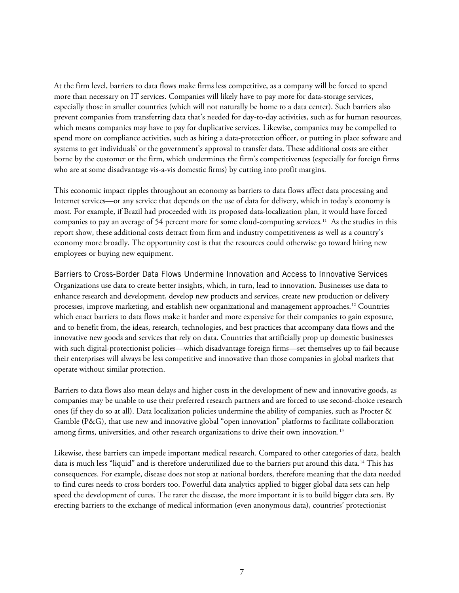At the firm level, barriers to data flows make firms less competitive, as a company will be forced to spend more than necessary on IT services. Companies will likely have to pay more for data-storage services, especially those in smaller countries (which will not naturally be home to a data center). Such barriers also prevent companies from transferring data that's needed for day-to-day activities, such as for human resources, which means companies may have to pay for duplicative services. Likewise, companies may be compelled to spend more on compliance activities, such as hiring a data-protection officer, or putting in place software and systems to get individuals' or the government's approval to transfer data. These additional costs are either borne by the customer or the firm, which undermines the firm's competitiveness (especially for foreign firms who are at some disadvantage vis-a-vis domestic firms) by cutting into profit margins.

This economic impact ripples throughout an economy as barriers to data flows affect data processing and Internet services—or any service that depends on the use of data for delivery, which in today's economy is most. For example, if Brazil had proceeded with its proposed data-localization plan, it would have forced companies to pay an average of 54 percent more for some cloud-computing services.<sup>[11](#page-28-11)</sup> As the studies in this report show, these additional costs detract from firm and industry competitiveness as well as a country's economy more broadly. The opportunity cost is that the resources could otherwise go toward hiring new employees or buying new equipment.

<span id="page-6-0"></span>Barriers to Cross-Border Data Flows Undermine Innovation and Access to Innovative Services Organizations use data to create better insights, which, in turn, lead to innovation. Businesses use data to enhance research and development, develop new products and services, create new production or delivery processes, improve marketing, and establish new organizational and management approaches.[12](#page-28-12) Countries which enact barriers to data flows make it harder and more expensive for their companies to gain exposure, and to benefit from, the ideas, research, technologies, and best practices that accompany data flows and the innovative new goods and services that rely on data. Countries that artificially prop up domestic businesses with such digital-protectionist policies—which disadvantage foreign firms—set themselves up to fail because their enterprises will always be less competitive and innovative than those companies in global markets that operate without similar protection.

Barriers to data flows also mean delays and higher costs in the development of new and innovative goods, as companies may be unable to use their preferred research partners and are forced to use second-choice research ones (if they do so at all). Data localization policies undermine the ability of companies, such as Procter & Gamble (P&G), that use new and innovative global "open innovation" platforms to facilitate collaboration among firms, universities, and other research organizations to drive their own innovation.<sup>[13](#page-29-0)</sup>

Likewise, these barriers can impede important medical research. Compared to other categories of data, health data is much less "liquid" and is therefore underutilized due to the barriers put around this data.<sup>[14](#page-29-1)</sup> This has consequences. For example, disease does not stop at national borders, therefore meaning that the data needed to find cures needs to cross borders too. Powerful data analytics applied to bigger global data sets can help speed the development of cures. The rarer the disease, the more important it is to build bigger data sets. By erecting barriers to the exchange of medical information (even anonymous data), countries' protectionist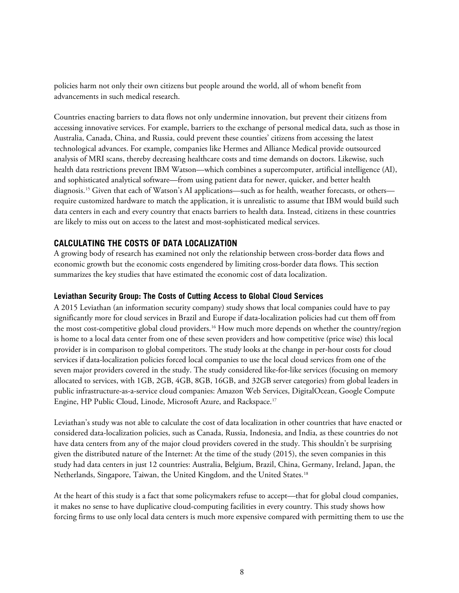policies harm not only their own citizens but people around the world, all of whom benefit from advancements in such medical research.

Countries enacting barriers to data flows not only undermine innovation, but prevent their citizens from accessing innovative services. For example, barriers to the exchange of personal medical data, such as those in Australia, Canada, China, and Russia, could prevent these counties' citizens from accessing the latest technological advances. For example, companies like Hermes and Alliance Medical provide outsourced analysis of MRI scans, thereby decreasing healthcare costs and time demands on doctors. Likewise, such health data restrictions prevent IBM Watson—which combines a supercomputer, artificial intelligence (AI), and sophisticated analytical software—from using patient data for newer, quicker, and better health diagnosis.<sup>[15](#page-29-2)</sup> Given that each of Watson's AI applications—such as for health, weather forecasts, or others require customized hardware to match the application, it is unrealistic to assume that IBM would build such data centers in each and every country that enacts barriers to health data. Instead, citizens in these countries are likely to miss out on access to the latest and most-sophisticated medical services.

## <span id="page-7-0"></span>**CALCULATING THE COSTS OF DATA LOCALIZATION**

A growing body of research has examined not only the relationship between cross-border data flows and economic growth but the economic costs engendered by limiting cross-border data flows. This section summarizes the key studies that have estimated the economic cost of data localization.

#### <span id="page-7-1"></span>**Leviathan Security Group: The Costs of Cutting Access to Global Cloud Services**

A 2015 Leviathan (an information security company) study shows that local companies could have to pay significantly more for cloud services in Brazil and Europe if data-localization policies had cut them off from the most cost-competitive global cloud providers.<sup>[16](#page-29-3)</sup> How much more depends on whether the country/region is home to a local data center from one of these seven providers and how competitive (price wise) this local provider is in comparison to global competitors. The study looks at the change in per-hour costs for cloud services if data-localization policies forced local companies to use the local cloud services from one of the seven major providers covered in the study. The study considered like-for-like services (focusing on memory allocated to services, with 1GB, 2GB, 4GB, 8GB, 16GB, and 32GB server categories) from global leaders in public infrastructure-as-a-service cloud companies: Amazon Web Services, DigitalOcean, Google Compute Engine, HP Public Cloud, Linode, Microsoft Azure, and Rackspace.[17](#page-29-4)

Leviathan's study was not able to calculate the cost of data localization in other countries that have enacted or considered data-localization policies, such as Canada, Russia, Indonesia, and India, as these countries do not have data centers from any of the major cloud providers covered in the study. This shouldn't be surprising given the distributed nature of the Internet: At the time of the study (2015), the seven companies in this study had data centers in just 12 countries: Australia, Belgium, Brazil, China, Germany, Ireland, Japan, the Netherlands, Singapore, Taiwan, the United Kingdom, and the United States.[18](#page-29-5)

At the heart of this study is a fact that some policymakers refuse to accept—that for global cloud companies, it makes no sense to have duplicative cloud-computing facilities in every country. This study shows how forcing firms to use only local data centers is much more expensive compared with permitting them to use the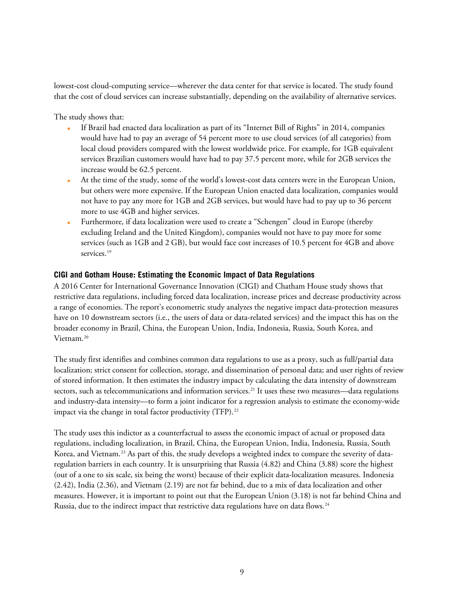lowest-cost cloud-computing service—wherever the data center for that service is located. The study found that the cost of cloud services can increase substantially, depending on the availability of alternative services.

The study shows that:

- If Brazil had enacted data localization as part of its "Internet Bill of Rights" in 2014, companies would have had to pay an average of 54 percent more to use cloud services (of all categories) from local cloud providers compared with the lowest worldwide price. For example, for 1GB equivalent services Brazilian customers would have had to pay 37.5 percent more, while for 2GB services the increase would be 62.5 percent.
- At the time of the study, some of the world's lowest-cost data centers were in the European Union, but others were more expensive. If the European Union enacted data localization, companies would not have to pay any more for 1GB and 2GB services, but would have had to pay up to 36 percent more to use 4GB and higher services.
- Furthermore, if data localization were used to create a "Schengen" cloud in Europe (thereby excluding Ireland and the United Kingdom), companies would not have to pay more for some services (such as 1GB and 2 GB), but would face cost increases of 10.5 percent for 4GB and above services.<sup>[19](#page-29-6)</sup>

### <span id="page-8-0"></span>**CIGI and Gotham House: Estimating the Economic Impact of Data Regulations**

A 2016 Center for International Governance Innovation (CIGI) and Chatham House study shows that restrictive data regulations, including forced data localization, increase prices and decrease productivity across a range of economies. The report's econometric study analyzes the negative impact data-protection measures have on 10 downstream sectors (i.e., the users of data or data-related services) and the impact this has on the broader economy in Brazil, China, the European Union, India, Indonesia, Russia, South Korea, and Vietnam.[20](#page-29-7)

The study first identifies and combines common data regulations to use as a proxy, such as full/partial data localization; strict consent for collection, storage, and dissemination of personal data; and user rights of review of stored information. It then estimates the industry impact by calculating the data intensity of downstream sectors, such as telecommunications and information services.<sup>[21](#page-29-8)</sup> It uses these two measures—data regulations and industry-data intensity—to form a joint indicator for a regression analysis to estimate the economy-wide impact via the change in total factor productivity (TFP).<sup>[22](#page-29-9)</sup>

The study uses this indictor as a counterfactual to assess the economic impact of actual or proposed data regulations, including localization, in Brazil, China, the European Union, India, Indonesia, Russia, South Korea, and Vietnam.[23](#page-29-10) As part of this, the study develops a weighted index to compare the severity of dataregulation barriers in each country. It is unsurprising that Russia (4.82) and China (3.88) score the highest (out of a one to six scale, six being the worst) because of their explicit data-localization measures. Indonesia (2.42), India (2.36), and Vietnam (2.19) are not far behind, due to a mix of data localization and other measures. However, it is important to point out that the European Union (3.18) is not far behind China and Russia, due to the indirect impact that restrictive data regulations have on data flows.<sup>24</sup>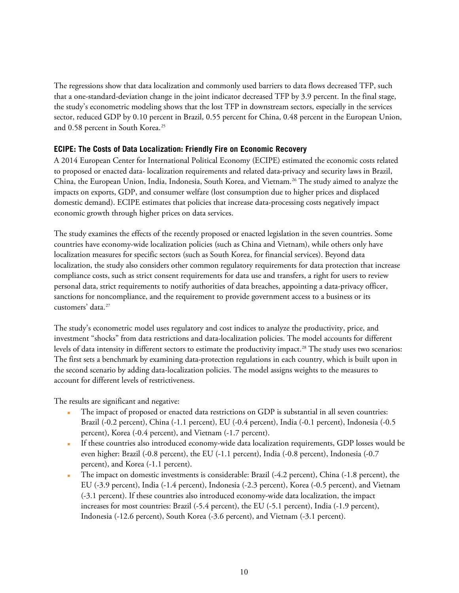The regressions show that data localization and commonly used barriers to data flows decreased TFP, such that a one-standard-deviation change in the joint indicator decreased TFP by 3.9 percent. In the final stage, the study's econometric modeling shows that the lost TFP in downstream sectors, especially in the services sector, reduced GDP by 0.10 percent in Brazil, 0.55 percent for China, 0.48 percent in the European Union, and 0.58 percent in South Korea.<sup>[25](#page-29-12)</sup>

#### <span id="page-9-0"></span>**ECIPE: The Costs of Data Localization: Friendly Fire on Economic Recovery**

A 2014 European Center for International Political Economy (ECIPE) estimated the economic costs related to proposed or enacted data- localization requirements and related data-privacy and security laws in Brazil, China, the European Union, India, Indonesia, South Korea, and Vietnam.[26](#page-29-13) The study aimed to analyze the impacts on exports, GDP, and consumer welfare (lost consumption due to higher prices and displaced domestic demand). ECIPE estimates that policies that increase data-processing costs negatively impact economic growth through higher prices on data services.

The study examines the effects of the recently proposed or enacted legislation in the seven countries. Some countries have economy-wide localization policies (such as China and Vietnam), while others only have localization measures for specific sectors (such as South Korea, for financial services). Beyond data localization, the study also considers other common regulatory requirements for data protection that increase compliance costs, such as strict consent requirements for data use and transfers, a right for users to review personal data, strict requirements to notify authorities of data breaches, appointing a data-privacy officer, sanctions for noncompliance, and the requirement to provide government access to a business or its customers' data.[27](#page-30-0)

The study's econometric model uses regulatory and cost indices to analyze the productivity, price, and investment "shocks" from data restrictions and data-localization policies. The model accounts for different levels of data intensity in different sectors to estimate the productivity impact.[28](#page-30-1) The study uses two scenarios: The first sets a benchmark by examining data-protection regulations in each country, which is built upon in the second scenario by adding data-localization policies. The model assigns weights to the measures to account for different levels of restrictiveness.

The results are significant and negative:

- The impact of proposed or enacted data restrictions on GDP is substantial in all seven countries: Brazil (-0.2 percent), China (-1.1 percent), EU (-0.4 percent), India (-0.1 percent), Indonesia (-0.5 percent), Korea (-0.4 percent), and Vietnam (-1.7 percent).
- If these countries also introduced economy-wide data localization requirements, GDP losses would be even higher: Brazil (-0.8 percent), the EU (-1.1 percent), India (-0.8 percent), Indonesia (-0.7 percent), and Korea (-1.1 percent).
- The impact on domestic investments is considerable: Brazil  $(-4.2 \text{ percent})$ , China  $(-1.8 \text{ percent})$ , the EU (-3.9 percent), India (-1.4 percent), Indonesia (-2.3 percent), Korea (-0.5 percent), and Vietnam (-3.1 percent). If these countries also introduced economy-wide data localization, the impact increases for most countries: Brazil (-5.4 percent), the EU (-5.1 percent), India (-1.9 percent), Indonesia (-12.6 percent), South Korea (-3.6 percent), and Vietnam (-3.1 percent).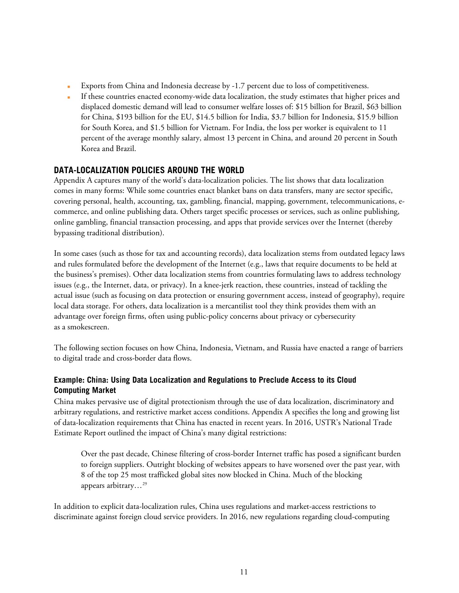- Exports from China and Indonesia decrease by -1.7 percent due to loss of competitiveness.
- If these countries enacted economy-wide data localization, the study estimates that higher prices and displaced domestic demand will lead to consumer welfare losses of: \$15 billion for Brazil, \$63 billion for China, \$193 billion for the EU, \$14.5 billion for India, \$3.7 billion for Indonesia, \$15.9 billion for South Korea, and \$1.5 billion for Vietnam. For India, the loss per worker is equivalent to 11 percent of the average monthly salary, almost 13 percent in China, and around 20 percent in South Korea and Brazil.

## <span id="page-10-0"></span>**DATA-LOCALIZATION POLICIES AROUND THE WORLD**

Appendix A captures many of the world's data-localization policies. The list shows that data localization comes in many forms: While some countries enact blanket bans on data transfers, many are sector specific, covering personal, health, accounting, tax, gambling, financial, mapping, government, telecommunications, ecommerce, and online publishing data. Others target specific processes or services, such as online publishing, online gambling, financial transaction processing, and apps that provide services over the Internet (thereby bypassing traditional distribution).

In some cases (such as those for tax and accounting records), data localization stems from outdated legacy laws and rules formulated before the development of the Internet (e.g., laws that require documents to be held at the business's premises). Other data localization stems from countries formulating laws to address technology issues (e.g., the Internet, data, or privacy). In a knee-jerk reaction, these countries, instead of tackling the actual issue (such as focusing on data protection or ensuring government access, instead of geography), require local data storage. For others, data localization is a mercantilist tool they think provides them with an advantage over foreign firms, often using public-policy concerns about privacy or cybersecurity as a smokescreen.

The following section focuses on how China, Indonesia, Vietnam, and Russia have enacted a range of barriers to digital trade and cross-border data flows.

## <span id="page-10-1"></span>**Example: China: Using Data Localization and Regulations to Preclude Access to its Cloud Computing Market**

China makes pervasive use of digital protectionism through the use of data localization, discriminatory and arbitrary regulations, and restrictive market access conditions. Appendix A specifies the long and growing list of data-localization requirements that China has enacted in recent years. In 2016, USTR's National Trade Estimate Report outlined the impact of China's many digital restrictions:

Over the past decade, Chinese filtering of cross-border Internet traffic has posed a significant burden to foreign suppliers. Outright blocking of websites appears to have worsened over the past year, with 8 of the top 25 most trafficked global sites now blocked in China. Much of the blocking appears arbitrary…[29](#page-30-2)

In addition to explicit data-localization rules, China uses regulations and market-access restrictions to discriminate against foreign cloud service providers. In 2016, new regulations regarding cloud-computing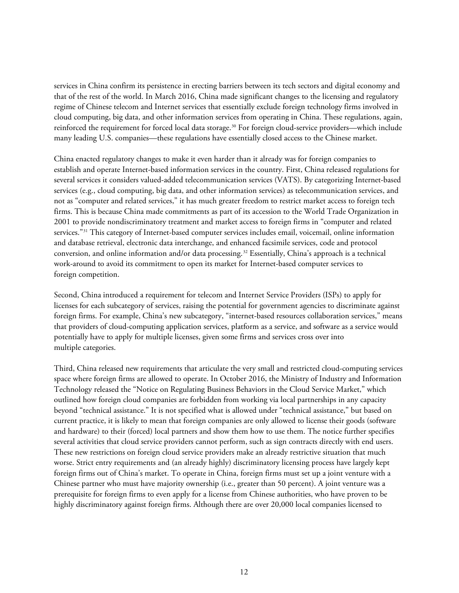services in China confirm its persistence in erecting barriers between its tech sectors and digital economy and that of the rest of the world. In March 2016, China made significant changes to the licensing and regulatory regime of Chinese telecom and Internet services that essentially exclude foreign technology firms involved in cloud computing, big data, and other information services from operating in China. These regulations, again, reinforced the requirement for forced local data storage.<sup>[30](#page-30-3)</sup> For foreign cloud-service providers—which include many leading U.S. companies—these regulations have essentially closed access to the Chinese market.

China enacted regulatory changes to make it even harder than it already was for foreign companies to establish and operate Internet-based information services in the country. First, China released regulations for several services it considers valued-added telecommunication services (VATS). By categorizing Internet-based services (e.g., cloud computing, big data, and other information services) as telecommunication services, and not as "computer and related services," it has much greater freedom to restrict market access to foreign tech firms. This is because China made commitments as part of its accession to the World Trade Organization in 2001 to provide nondiscriminatory treatment and market access to foreign firms in "computer and related services."[31](#page-30-4) This category of Internet-based computer services includes email, voicemail, online information and database retrieval, electronic data interchange, and enhanced facsimile services, code and protocol conversion, and online information and/or data processing.[32](#page-30-5) Essentially, China's approach is a technical work-around to avoid its commitment to open its market for Internet-based computer services to foreign competition.

Second, China introduced a requirement for telecom and Internet Service Providers (ISPs) to apply for licenses for each subcategory of services, raising the potential for government agencies to discriminate against foreign firms. For example, China's new subcategory, "internet-based resources collaboration services," means that providers of cloud-computing application services, platform as a service, and software as a service would potentially have to apply for multiple licenses, given some firms and services cross over into multiple categories.

Third, China released new requirements that articulate the very small and restricted cloud-computing services space where foreign firms are allowed to operate. In October 2016, the Ministry of Industry and Information Technology released the "Notice on Regulating Business Behaviors in the Cloud Service Market," which outlined how foreign cloud companies are forbidden from working via local partnerships in any capacity beyond "technical assistance." It is not specified what is allowed under "technical assistance," but based on current practice, it is likely to mean that foreign companies are only allowed to license their goods (software and hardware) to their (forced) local partners and show them how to use them. The notice further specifies several activities that cloud service providers cannot perform, such as sign contracts directly with end users. These new restrictions on foreign cloud service providers make an already restrictive situation that much worse. Strict entry requirements and (an already highly) discriminatory licensing process have largely kept foreign firms out of China's market. To operate in China, foreign firms must set up a joint venture with a Chinese partner who must have majority ownership (i.e., greater than 50 percent). A joint venture was a prerequisite for foreign firms to even apply for a license from Chinese authorities, who have proven to be highly discriminatory against foreign firms. Although there are over 20,000 local companies licensed to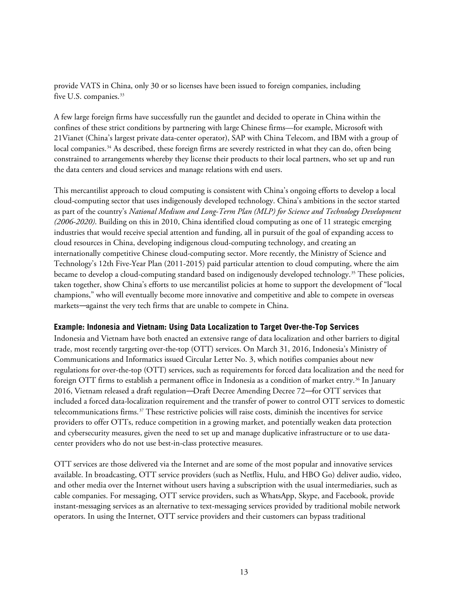provide VATS in China, only 30 or so licenses have been issued to foreign companies, including five U.S. companies.<sup>[33](#page-30-6)</sup>

A few large foreign firms have successfully run the gauntlet and decided to operate in China within the confines of these strict conditions by partnering with large Chinese firms—for example, Microsoft with 21Vianet (China's largest private data-center operator), SAP with China Telecom, and IBM with a group of local companies.<sup>[34](#page-30-7)</sup> As described, these foreign firms are severely restricted in what they can do, often being constrained to arrangements whereby they license their products to their local partners, who set up and run the data centers and cloud services and manage relations with end users.

This mercantilist approach to cloud computing is consistent with China's ongoing efforts to develop a local cloud-computing sector that uses indigenously developed technology. China's ambitions in the sector started as part of the country's *National Medium and Long-Term Plan (MLP) for Science and Technology Development (2006-2020)*. Building on this in 2010, China identified cloud computing as one of 11 strategic emerging industries that would receive special attention and funding, all in pursuit of the goal of expanding access to cloud resources in China, developing indigenous cloud-computing technology, and creating an internationally competitive Chinese cloud-computing sector. More recently, the Ministry of Science and Technology's 12th Five-Year Plan (2011-2015) paid particular attention to cloud computing, where the aim became to develop a cloud-computing standard based on indigenously developed technology[.35](#page-30-8) These policies, taken together, show China's efforts to use mercantilist policies at home to support the development of "local champions," who will eventually become more innovative and competitive and able to compete in overseas markets—against the very tech firms that are unable to compete in China.

#### <span id="page-12-0"></span>**Example: Indonesia and Vietnam: Using Data Localization to Target Over-the-Top Services**

Indonesia and Vietnam have both enacted an extensive range of data localization and other barriers to digital trade, most recently targeting over-the-top (OTT) services. On March 31, 2016, Indonesia's Ministry of Communications and Informatics issued Circular Letter No. 3, which notifies companies about new regulations for over-the-top (OTT) services, such as requirements for forced data localization and the need for foreign OTT firms to establish a permanent office in Indonesia as a condition of market entry.<sup>[36](#page-30-9)</sup> In January 2016, Vietnam released a draft regulation—Draft Decree Amending Decree 72—for OTT services that included a forced data-localization requirement and the transfer of power to control OTT services to domestic telecommunications firms.[37](#page-31-0) These restrictive policies will raise costs, diminish the incentives for service providers to offer OTTs, reduce competition in a growing market, and potentially weaken data protection and cybersecurity measures, given the need to set up and manage duplicative infrastructure or to use datacenter providers who do not use best-in-class protective measures.

OTT services are those delivered via the Internet and are some of the most popular and innovative services available. In broadcasting, OTT service providers (such as Netflix, Hulu, and HBO Go) deliver audio, video, and other media over the Internet without users having a subscription with the usual intermediaries, such as cable companies. For messaging, OTT service providers, such as WhatsApp, Skype, and Facebook, provide instant-messaging services as an alternative to text-messaging services provided by traditional mobile network operators. In using the Internet, OTT service providers and their customers can bypass traditional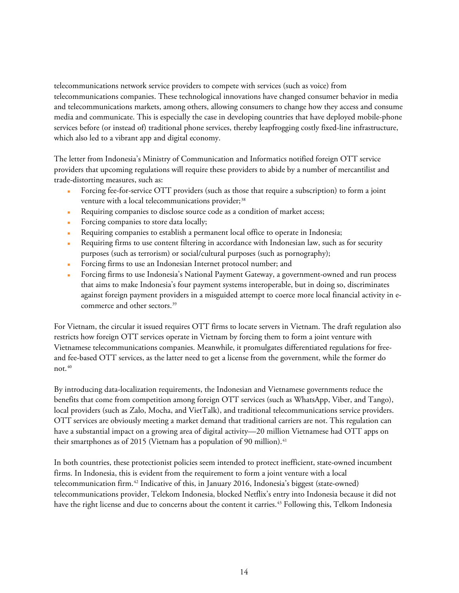telecommunications network service providers to compete with services (such as voice) from telecommunications companies. These technological innovations have changed consumer behavior in media and telecommunications markets, among others, allowing consumers to change how they access and consume media and communicate. This is especially the case in developing countries that have deployed mobile-phone services before (or instead of) traditional phone services, thereby leapfrogging costly fixed-line infrastructure, which also led to a vibrant app and digital economy.

The letter from Indonesia's Ministry of Communication and Informatics notified foreign OTT service providers that upcoming regulations will require these providers to abide by a number of mercantilist and trade-distorting measures, such as:

- Forcing fee-for-service OTT providers (such as those that require a subscription) to form a joint venture with a local telecommunications provider;<sup>[38](#page-31-1)</sup>
- Requiring companies to disclose source code as a condition of market access;
- Forcing companies to store data locally;
- Requiring companies to establish a permanent local office to operate in Indonesia;
- Requiring firms to use content filtering in accordance with Indonesian law, such as for security purposes (such as terrorism) or social/cultural purposes (such as pornography);
- Forcing firms to use an Indonesian Internet protocol number; and
- Forcing firms to use Indonesia's National Payment Gateway, a government-owned and run process that aims to make Indonesia's four payment systems interoperable, but in doing so, discriminates against foreign payment providers in a misguided attempt to coerce more local financial activity in e-commerce and other sectors.<sup>[39](#page-31-2)</sup>

For Vietnam, the circular it issued requires OTT firms to locate servers in Vietnam. The draft regulation also restricts how foreign OTT services operate in Vietnam by forcing them to form a joint venture with Vietnamese telecommunications companies. Meanwhile, it promulgates differentiated regulations for freeand fee-based OTT services, as the latter need to get a license from the government, while the former do not.<sup>[40](#page-31-3)</sup>

By introducing data-localization requirements, the Indonesian and Vietnamese governments reduce the benefits that come from competition among foreign OTT services (such as WhatsApp, Viber, and Tango), local providers (such as Zalo, Mocha, and VietTalk), and traditional telecommunications service providers. OTT services are obviously meeting a market demand that traditional carriers are not. This regulation can have a substantial impact on a growing area of digital activity—20 million Vietnamese had OTT apps on their smartphones as of 2015 (Vietnam has a population of 90 million). [41](#page-31-4)

In both countries, these protectionist policies seem intended to protect inefficient, state-owned incumbent firms. In Indonesia, this is evident from the requirement to form a joint venture with a local telecommunication firm.[42](#page-31-5) Indicative of this, in January 2016, Indonesia's biggest (state-owned) telecommunications provider, Telekom Indonesia, blocked Netflix's entry into Indonesia because it did not have the right license and due to concerns about the content it carries.<sup>[43](#page-31-6)</sup> Following this, Telkom Indonesia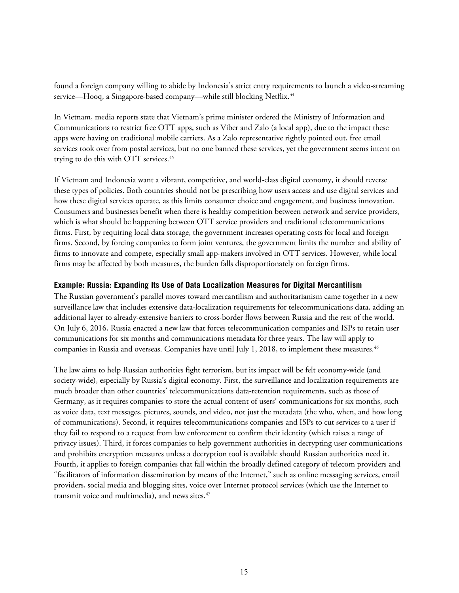found a foreign company willing to abide by Indonesia's strict entry requirements to launch a video-streaming service—Hooq, a Singapore-based company—while still blocking Netflix.<sup>[44](#page-31-7)</sup>

In Vietnam, media reports state that Vietnam's prime minister ordered the Ministry of Information and Communications to restrict free OTT apps, such as Viber and Zalo (a local app), due to the impact these apps were having on traditional mobile carriers. As a Zalo representative rightly pointed out, free email services took over from postal services, but no one banned these services, yet the government seems intent on trying to do this with OTT services. [45](#page-31-8)

If Vietnam and Indonesia want a vibrant, competitive, and world-class digital economy, it should reverse these types of policies. Both countries should not be prescribing how users access and use digital services and how these digital services operate, as this limits consumer choice and engagement, and business innovation. Consumers and businesses benefit when there is healthy competition between network and service providers, which is what should be happening between OTT service providers and traditional telecommunications firms. First, by requiring local data storage, the government increases operating costs for local and foreign firms. Second, by forcing companies to form joint ventures, the government limits the number and ability of firms to innovate and compete, especially small app-makers involved in OTT services. However, while local firms may be affected by both measures, the burden falls disproportionately on foreign firms.

#### <span id="page-14-0"></span>**Example: Russia: Expanding Its Use of Data Localization Measures for Digital Mercantilism**

The Russian government's parallel moves toward mercantilism and authoritarianism came together in a new surveillance law that includes extensive data-localization requirements for telecommunications data, adding an additional layer to already-extensive barriers to cross-border flows between Russia and the rest of the world. On July 6, 2016, Russia enacted a new law that forces telecommunication companies and ISPs to retain user communications for six months and communications metadata for three years. The law will apply to companies in Russia and overseas. Companies have until July 1, 2018, to implement these measures.<sup>[46](#page-31-9)</sup>

The law aims to help Russian authorities fight terrorism, but its impact will be felt economy-wide (and society-wide), especially by Russia's digital economy. First, the surveillance and localization requirements are much broader than other countries' telecommunications data-retention requirements, such as those of Germany, as it requires companies to store the actual content of users' communications for six months, such as voice data, text messages, pictures, sounds, and video, not just the metadata (the who, when, and how long of communications). Second, it requires telecommunications companies and ISPs to cut services to a user if they fail to respond to a request from law enforcement to confirm their identity (which raises a range of privacy issues). Third, it forces companies to help government authorities in decrypting user communications and prohibits encryption measures unless a decryption tool is available should Russian authorities need it. Fourth, it applies to foreign companies that fall within the broadly defined category of telecom providers and "facilitators of information dissemination by means of the Internet," such as online messaging services, email providers, social media and blogging sites, voice over Internet protocol services (which use the Internet to transmit voice and multimedia), and news sites.<sup>[47](#page-31-10)</sup>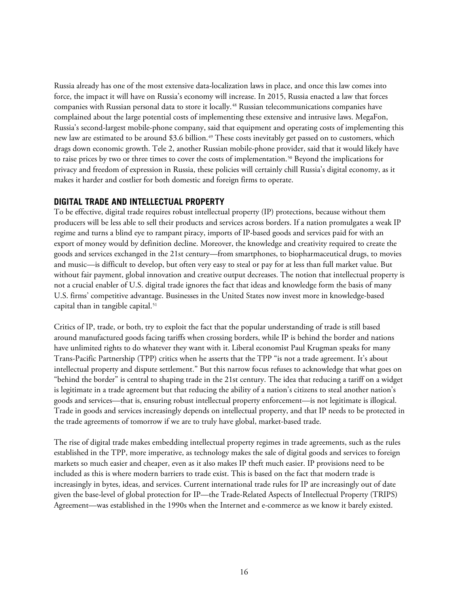Russia already has one of the most extensive data-localization laws in place, and once this law comes into force, the impact it will have on Russia's economy will increase. In 2015, Russia enacted a law that forces companies with Russian personal data to store it locally.<sup>[48](#page-31-11)</sup> Russian telecommunications companies have complained about the large potential costs of implementing these extensive and intrusive laws. MegaFon, Russia's second-largest mobile-phone company, said that equipment and operating costs of implementing this new law are estimated to be around \$3.6 billion.<sup>[49](#page-31-12)</sup> These costs inevitably get passed on to customers, which drags down economic growth. Tele 2, another Russian mobile-phone provider, said that it would likely have to raise prices by two or three times to cover the costs of implementation.<sup>[50](#page-31-13)</sup> Beyond the implications for privacy and freedom of expression in Russia, these policies will certainly chill Russia's digital economy, as it makes it harder and costlier for both domestic and foreign firms to operate.

## <span id="page-15-0"></span>**DIGITAL TRADE AND INTELLECTUAL PROPERTY**

To be effective, digital trade requires robust intellectual property (IP) protections, because without them producers will be less able to sell their products and services across borders. If a nation promulgates a weak IP regime and turns a blind eye to rampant piracy, imports of IP-based goods and services paid for with an export of money would by definition decline. Moreover, the knowledge and creativity required to create the goods and services exchanged in the 21st century—from smartphones, to biopharmaceutical drugs, to movies and music—is difficult to develop, but often very easy to steal or pay for at less than full market value. But without fair payment, global innovation and creative output decreases. The notion that intellectual property is not a crucial enabler of U.S. digital trade ignores the fact that ideas and knowledge form the basis of many U.S. firms' competitive advantage. Businesses in the United States now invest more in knowledge-based capital than in tangible capital.<sup>[51](#page-31-14)</sup>

Critics of IP, trade, or both, try to exploit the fact that the popular understanding of trade is still based around manufactured goods facing tariffs when crossing borders, while IP is behind the border and nations have unlimited rights to do whatever they want with it. Liberal economist Paul Krugman speaks for many Trans-Pacific Partnership (TPP) critics when he asserts that the TPP "is not a trade agreement. It's about intellectual property and dispute settlement." But this narrow focus refuses to acknowledge that what goes on "behind the border" is central to shaping trade in the 21st century. The idea that reducing a tariff on a widget is legitimate in a trade agreement but that reducing the ability of a nation's citizens to steal another nation's goods and services—that is, ensuring robust intellectual property enforcement—is not legitimate is illogical. Trade in goods and services increasingly depends on intellectual property, and that IP needs to be protected in the trade agreements of tomorrow if we are to truly have global, market-based trade.

The rise of digital trade makes embedding intellectual property regimes in trade agreements, such as the rules established in the TPP, more imperative, as technology makes the sale of digital goods and services to foreign markets so much easier and cheaper, even as it also makes IP theft much easier. IP provisions need to be included as this is where modern barriers to trade exist. This is based on the fact that modern trade is increasingly in bytes, ideas, and services. Current international trade rules for IP are increasingly out of date given the base-level of global protection for IP—the Trade-Related Aspects of Intellectual Property (TRIPS) Agreement—was established in the 1990s when the Internet and e-commerce as we know it barely existed.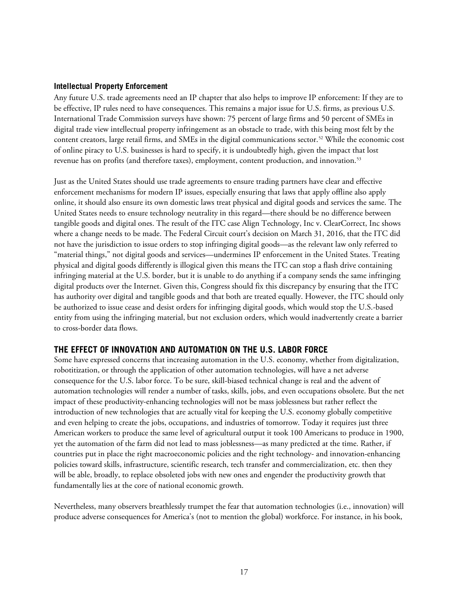#### <span id="page-16-0"></span>**Intellectual Property Enforcement**

Any future U.S. trade agreements need an IP chapter that also helps to improve IP enforcement: If they are to be effective, IP rules need to have consequences. This remains a major issue for U.S. firms, as previous U.S. International Trade Commission surveys have shown: 75 percent of large firms and 50 percent of SMEs in digital trade view intellectual property infringement as an obstacle to trade, with this being most felt by the content creators, large retail firms, and SMEs in the digital communications sector.[52](#page-31-15) While the economic cost of online piracy to U.S. businesses is hard to specify, it is undoubtedly high, given the impact that lost revenue has on profits (and therefore taxes), employment, content production, and innovation.<sup>[53](#page-31-16)</sup>

Just as the United States should use trade agreements to ensure trading partners have clear and effective enforcement mechanisms for modern IP issues, especially ensuring that laws that apply offline also apply online, it should also ensure its own domestic laws treat physical and digital goods and services the same. The United States needs to ensure technology neutrality in this regard—there should be no difference between tangible goods and digital ones. The result of the ITC case Align Technology, Inc v. ClearCorrect, Inc shows where a change needs to be made. The Federal Circuit court's decision on March 31, 2016, that the ITC did not have the jurisdiction to issue orders to stop infringing digital goods—as the relevant law only referred to "material things," not digital goods and services—undermines IP enforcement in the United States. Treating physical and digital goods differently is illogical given this means the ITC can stop a flash drive containing infringing material at the U.S. border, but it is unable to do anything if a company sends the same infringing digital products over the Internet. Given this, Congress should fix this discrepancy by ensuring that the ITC has authority over digital and tangible goods and that both are treated equally. However, the ITC should only be authorized to issue cease and desist orders for infringing digital goods, which would stop the U.S.-based entity from using the infringing material, but not exclusion orders, which would inadvertently create a barrier to cross-border data flows.

### <span id="page-16-1"></span>**THE EFFECT OF INNOVATION AND AUTOMATION ON THE U.S. LABOR FORCE**

Some have expressed concerns that increasing automation in the U.S. economy, whether from digitalization, robotitization, or through the application of other automation technologies, will have a net adverse consequence for the U.S. labor force. To be sure, skill-biased technical change is real and the advent of automation technologies will render a number of tasks, skills, jobs, and even occupations obsolete. But the net impact of these productivity-enhancing technologies will not be mass joblessness but rather reflect the introduction of new technologies that are actually vital for keeping the U.S. economy globally competitive and even helping to create the jobs, occupations, and industries of tomorrow. Today it requires just three American workers to produce the same level of agricultural output it took 100 Americans to produce in 1900, yet the automation of the farm did not lead to mass joblessness—as many predicted at the time. Rather, if countries put in place the right macroeconomic policies and the right technology- and innovation-enhancing policies toward skills, infrastructure, scientific research, tech transfer and commercialization, etc. then they will be able, broadly, to replace obsoleted jobs with new ones and engender the productivity growth that fundamentally lies at the core of national economic growth.

Nevertheless, many observers breathlessly trumpet the fear that automation technologies (i.e., innovation) will produce adverse consequences for America's (not to mention the global) workforce. For instance, in his book,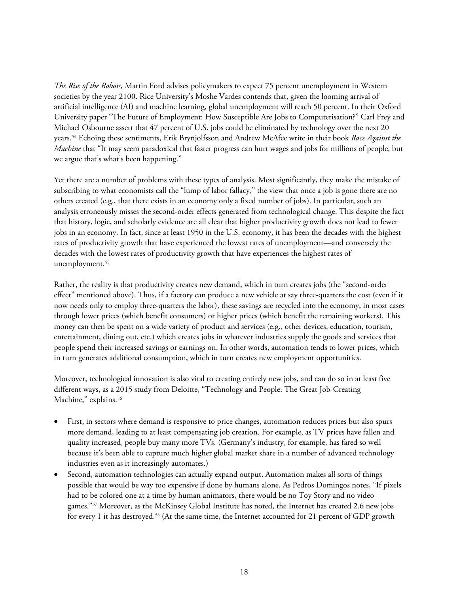*The Rise of the Robots,* Martin Ford advises policymakers to expect 75 percent unemployment in Western societies by the year 2100. Rice University's Moshe Vardes contends that, given the looming arrival of artificial intelligence (AI) and machine learning, global unemployment will reach 50 percent. In their Oxford University paper "The Future of Employment: How Susceptible Are Jobs to Computerisation?" Carl Frey and Michael Osbourne assert that 47 percent of U.S. jobs could be eliminated by technology over the next 20 years.[54](#page-32-0) Echoing these sentiments, Erik Brynjolfsson and Andrew McAfee write in their book *Race Against the Machine* that "It may seem paradoxical that faster progress can hurt wages and jobs for millions of people, but we argue that's what's been happening."

Yet there are a number of problems with these types of analysis. Most significantly, they make the mistake of subscribing to what economists call the "lump of labor fallacy," the view that once a job is gone there are no others created (e.g., that there exists in an economy only a fixed number of jobs). In particular, such an analysis erroneously misses the second-order effects generated from technological change. This despite the fact that history, logic, and scholarly evidence are all clear that higher productivity growth does not lead to fewer jobs in an economy. In fact, since at least 1950 in the U.S. economy, it has been the decades with the highest rates of productivity growth that have experienced the lowest rates of unemployment—and conversely the decades with the lowest rates of productivity growth that have experiences the highest rates of unemployment.<sup>[55](#page-32-1)</sup>

Rather, the reality is that productivity creates new demand, which in turn creates jobs (the "second-order effect" mentioned above). Thus, if a factory can produce a new vehicle at say three-quarters the cost (even if it now needs only to employ three-quarters the labor), these savings are recycled into the economy, in most cases through lower prices (which benefit consumers) or higher prices (which benefit the remaining workers). This money can then be spent on a wide variety of product and services (e.g., other devices, education, tourism, entertainment, dining out, etc.) which creates jobs in whatever industries supply the goods and services that people spend their increased savings or earnings on. In other words, automation tends to lower prices, which in turn generates additional consumption, which in turn creates new employment opportunities.

Moreover, technological innovation is also vital to creating entirely new jobs, and can do so in at least five different ways, as a 2015 study from Deloitte, "Technology and People: The Great Job-Creating Machine," explains.<sup>[56](#page-32-2)</sup>

- First, in sectors where demand is responsive to price changes, automation reduces prices but also spurs more demand, leading to at least compensating job creation. For example, as TV prices have fallen and quality increased, people buy many more TVs. (Germany's industry, for example, has fared so well because it's been able to capture much higher global market share in a number of advanced technology industries even as it increasingly automates.)
- Second, automation technologies can actually expand output. Automation makes all sorts of things possible that would be way too expensive if done by humans alone. As Pedros Domingos notes, "If pixels had to be colored one at a time by human animators, there would be no Toy Story and no video games."<sup>[57](#page-32-3)</sup> Moreover, as the McKinsey Global Institute has noted, the Internet has created 2.6 new jobs for every 1 it has destroyed.<sup>[58](#page-32-4)</sup> (At the same time, the Internet accounted for 21 percent of GDP growth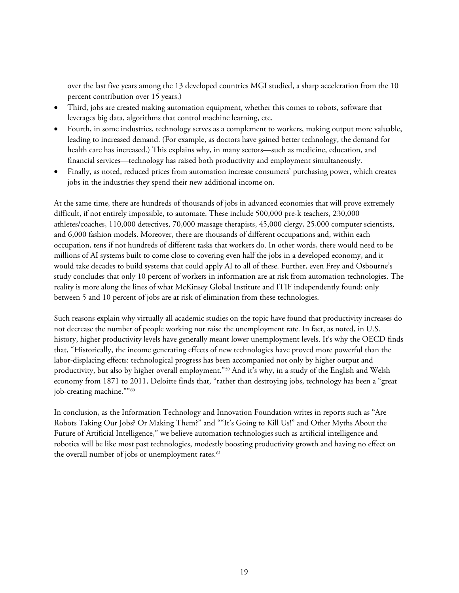over the last five years among the 13 developed countries MGI studied, a sharp acceleration from the 10 percent contribution over 15 years.)

- Third, jobs are created making automation equipment, whether this comes to robots, software that leverages big data, algorithms that control machine learning, etc.
- Fourth, in some industries, technology serves as a complement to workers, making output more valuable, leading to increased demand. (For example, as doctors have gained better technology, the demand for health care has increased.) This explains why, in many sectors—such as medicine, education, and financial services—technology has raised both productivity and employment simultaneously.
- Finally, as noted, reduced prices from automation increase consumers' purchasing power, which creates jobs in the industries they spend their new additional income on.

At the same time, there are hundreds of thousands of jobs in advanced economies that will prove extremely difficult, if not entirely impossible, to automate. These include 500,000 pre-k teachers, 230,000 athletes/coaches, 110,000 detectives, 70,000 massage therapists, 45,000 clergy, 25,000 computer scientists, and 6,000 fashion models. Moreover, there are thousands of different occupations and, within each occupation, tens if not hundreds of different tasks that workers do. In other words, there would need to be millions of AI systems built to come close to covering even half the jobs in a developed economy, and it would take decades to build systems that could apply AI to all of these. Further, even Frey and Osbourne's study concludes that only 10 percent of workers in information are at risk from automation technologies. The reality is more along the lines of what McKinsey Global Institute and ITIF independently found: only between 5 and 10 percent of jobs are at risk of elimination from these technologies.

Such reasons explain why virtually all academic studies on the topic have found that productivity increases do not decrease the number of people working nor raise the unemployment rate. In fact, as noted, in U.S. history, higher productivity levels have generally meant lower unemployment levels. It's why the OECD finds that, "Historically, the income generating effects of new technologies have proved more powerful than the labor-displacing effects: technological progress has been accompanied not only by higher output and productivity, but also by higher overall employment."[59](#page-32-5) And it's why, in a study of the English and Welsh economy from 1871 to 2011, Deloitte finds that, "rather than destroying jobs, technology has been a "great job-creating machine.""<sup>[60](#page-32-6)</sup>

In conclusion, as the Information Technology and Innovation Foundation writes in reports such as "Are Robots Taking Our Jobs? Or Making Them?" and ""It's Going to Kill Us!" and Other Myths About the Future of Artificial Intelligence," we believe automation technologies such as artificial intelligence and robotics will be like most past technologies, modestly boosting productivity growth and having no effect on the overall number of jobs or unemployment rates.<sup>[61](#page-32-7)</sup>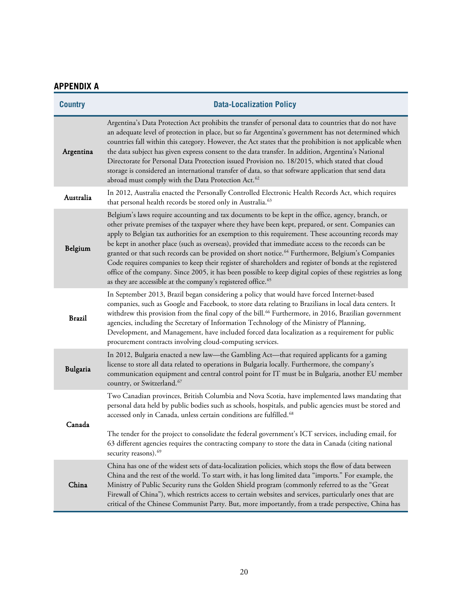## <span id="page-19-0"></span>**APPENDIX A**

| <b>Country</b> | <b>Data-Localization Policy</b>                                                                                                                                                                                                                                                                                                                                                                                                                                                                                                                                                                                                                                                                                                                                                                                                        |
|----------------|----------------------------------------------------------------------------------------------------------------------------------------------------------------------------------------------------------------------------------------------------------------------------------------------------------------------------------------------------------------------------------------------------------------------------------------------------------------------------------------------------------------------------------------------------------------------------------------------------------------------------------------------------------------------------------------------------------------------------------------------------------------------------------------------------------------------------------------|
| Argentina      | Argentina's Data Protection Act prohibits the transfer of personal data to countries that do not have<br>an adequate level of protection in place, but so far Argentina's government has not determined which<br>countries fall within this category. However, the Act states that the prohibition is not applicable when<br>the data subject has given express consent to the data transfer. In addition, Argentina's National<br>Directorate for Personal Data Protection issued Provision no. 18/2015, which stated that cloud<br>storage is considered an international transfer of data, so that software application that send data<br>abroad must comply with the Data Protection Act. <sup>62</sup>                                                                                                                            |
| Australia      | In 2012, Australia enacted the Personally Controlled Electronic Health Records Act, which requires<br>that personal health records be stored only in Australia. <sup>63</sup>                                                                                                                                                                                                                                                                                                                                                                                                                                                                                                                                                                                                                                                          |
| Belgium        | Belgium's laws require accounting and tax documents to be kept in the office, agency, branch, or<br>other private premises of the taxpayer where they have been kept, prepared, or sent. Companies can<br>apply to Belgian tax authorities for an exemption to this requirement. These accounting records may<br>be kept in another place (such as overseas), provided that immediate access to the records can be<br>granted or that such records can be provided on short notice. <sup>64</sup> Furthermore, Belgium's Companies<br>Code requires companies to keep their register of shareholders and register of bonds at the registered<br>office of the company. Since 2005, it has been possible to keep digital copies of these registries as long<br>as they are accessible at the company's registered office. <sup>65</sup> |
| <b>Brazil</b>  | In September 2013, Brazil began considering a policy that would have forced Internet-based<br>companies, such as Google and Facebook, to store data relating to Brazilians in local data centers. It<br>withdrew this provision from the final copy of the bill. <sup>66</sup> Furthermore, in 2016, Brazilian government<br>agencies, including the Secretary of Information Technology of the Ministry of Planning,<br>Development, and Management, have included forced data localization as a requirement for public<br>procurement contracts involving cloud-computing services.                                                                                                                                                                                                                                                  |
| Bulgaria       | In 2012, Bulgaria enacted a new law-the Gambling Act-that required applicants for a gaming<br>license to store all data related to operations in Bulgaria locally. Furthermore, the company's<br>communication equipment and central control point for IT must be in Bulgaria, another EU member<br>country, or Switzerland. <sup>67</sup>                                                                                                                                                                                                                                                                                                                                                                                                                                                                                             |
| Canada         | Two Canadian provinces, British Columbia and Nova Scotia, have implemented laws mandating that<br>personal data held by public bodies such as schools, hospitals, and public agencies must be stored and<br>accessed only in Canada, unless certain conditions are fulfilled. <sup>68</sup><br>The tender for the project to consolidate the federal government's ICT services, including email, for<br>63 different agencies requires the contracting company to store the data in Canada (citing national<br>security reasons). <sup>69</sup>                                                                                                                                                                                                                                                                                        |
| China          | China has one of the widest sets of data-localization policies, which stops the flow of data between<br>China and the rest of the world. To start with, it has long limited data "imports." For example, the<br>Ministry of Public Security runs the Golden Shield program (commonly referred to as the "Great<br>Firewall of China"), which restricts access to certain websites and services, particularly ones that are<br>critical of the Chinese Communist Party. But, more importantly, from a trade perspective, China has                                                                                                                                                                                                                                                                                                      |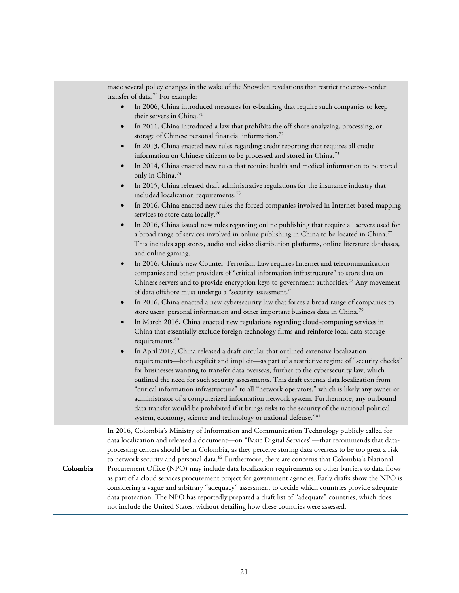made several policy changes in the wake of the Snowden revelations that restrict the cross-border transfer of data.[70](#page-32-16) For example:

- In 2006, China introduced measures for e-banking that require such companies to keep their servers in China.<sup>[71](#page-32-17)</sup>
- In 2011, China introduced a law that prohibits the off-shore analyzing, processing, or storage of Chinese personal financial information.<sup>[72](#page-33-0)</sup>
- In 2013, China enacted new rules regarding credit reporting that requires all credit information on Chinese citizens to be processed and stored in China.<sup>[73](#page-33-1)</sup>
- In 2014, China enacted new rules that require health and medical information to be stored only in China.<sup>[74](#page-33-2)</sup>
- In 2015, China released draft administrative regulations for the insurance industry that included localization requirements.[75](#page-33-3)
- In 2016, China enacted new rules the forced companies involved in Internet-based mapping services to store data locally.<sup>[76](#page-33-4)</sup>
- In 2016, China issued new rules regarding online publishing that require all servers used for a broad range of services involved in online publishing in China to be located in China.<sup>[77](#page-33-5)</sup> This includes app stores, audio and video distribution platforms, online literature databases, and online gaming.
- In 2016, China's new Counter-Terrorism Law requires Internet and telecommunication companies and other providers of "critical information infrastructure" to store data on Chinese servers and to provide encryption keys to government authorities.<sup>[78](#page-33-6)</sup> Any movement of data offshore must undergo a "security assessment."
- In 2016, China enacted a new cybersecurity law that forces a broad range of companies to store users' personal information and other important business data in China.<sup>[79](#page-33-7)</sup>
- In March 2016, China enacted new regulations regarding cloud-computing services in China that essentially exclude foreign technology firms and reinforce local data-storage requirements.<sup>[80](#page-33-8)</sup>
- In April 2017, China released a draft circular that outlined extensive localization requirements—both explicit and implicit—as part of a restrictive regime of "security checks" for businesses wanting to transfer data overseas, further to the cybersecurity law, which outlined the need for such security assessments. This draft extends data localization from "critical information infrastructure" to all "network operators," which is likely any owner or administrator of a computerized information network system. Furthermore, any outbound data transfer would be prohibited if it brings risks to the security of the national political system, economy, science and technology or national defense."<sup>[81](#page-33-9)</sup>

In 2016, Colombia's Ministry of Information and Communication Technology publicly called for data localization and released a document—on "Basic Digital Services"—that recommends that dataprocessing centers should be in Colombia, as they perceive storing data overseas to be too great a risk to network security and personal data.<sup>[82](#page-33-10)</sup> Furthermore, there are concerns that Colombia's National Procurement Office (NPO) may include data localization requirements or other barriers to data flows as part of a cloud services procurement project for government agencies. Early drafts show the NPO is considering a vague and arbitrary "adequacy" assessment to decide which countries provide adequate data protection. The NPO has reportedly prepared a draft list of "adequate" countries, which does not include the United States, without detailing how these countries were assessed.

Colombia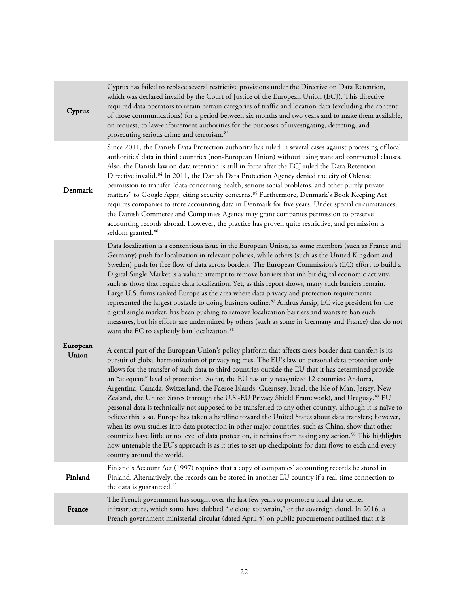| Cyprus            | Cyprus has failed to replace several restrictive provisions under the Directive on Data Retention,<br>which was declared invalid by the Court of Justice of the European Union (ECJ). This directive<br>required data operators to retain certain categories of traffic and location data (excluding the content<br>of those communications) for a period between six months and two years and to make them available,<br>on request, to law-enforcement authorities for the purposes of investigating, detecting, and<br>prosecuting serious crime and terrorism. <sup>83</sup>                                                                                                                                                                                                                                                                                                                                                                                                                                                                                                                                                                                                                                                      |
|-------------------|---------------------------------------------------------------------------------------------------------------------------------------------------------------------------------------------------------------------------------------------------------------------------------------------------------------------------------------------------------------------------------------------------------------------------------------------------------------------------------------------------------------------------------------------------------------------------------------------------------------------------------------------------------------------------------------------------------------------------------------------------------------------------------------------------------------------------------------------------------------------------------------------------------------------------------------------------------------------------------------------------------------------------------------------------------------------------------------------------------------------------------------------------------------------------------------------------------------------------------------|
| Denmark           | Since 2011, the Danish Data Protection authority has ruled in several cases against processing of local<br>authorities' data in third countries (non-European Union) without using standard contractual clauses.<br>Also, the Danish law on data retention is still in force after the ECJ ruled the Data Retention<br>Directive invalid. <sup>84</sup> In 2011, the Danish Data Protection Agency denied the city of Odense<br>permission to transfer "data concerning health, serious social problems, and other purely private<br>matters" to Google Apps, citing security concerns. <sup>85</sup> Furthermore, Denmark's Book Keeping Act<br>requires companies to store accounting data in Denmark for five years. Under special circumstances,<br>the Danish Commerce and Companies Agency may grant companies permission to preserve<br>accounting records abroad. However, the practice has proven quite restrictive, and permission is<br>seldom granted. <sup>86</sup>                                                                                                                                                                                                                                                      |
|                   | Data localization is a contentious issue in the European Union, as some members (such as France and<br>Germany) push for localization in relevant policies, while others (such as the United Kingdom and<br>Sweden) push for free flow of data across borders. The European Commission's (EC) effort to build a<br>Digital Single Market is a valiant attempt to remove barriers that inhibit digital economic activity,<br>such as those that require data localization. Yet, as this report shows, many such barriers remain.<br>Large U.S. firms ranked Europe as the area where data privacy and protection requirements<br>represented the largest obstacle to doing business online. <sup>87</sup> Andrus Ansip, EC vice president for the<br>digital single market, has been pushing to remove localization barriers and wants to ban such<br>measures, but his efforts are undermined by others (such as some in Germany and France) that do not<br>want the EC to explicitly ban localization. <sup>88</sup>                                                                                                                                                                                                                 |
| European<br>Union | A central part of the European Union's policy platform that affects cross-border data transfers is its<br>pursuit of global harmonization of privacy regimes. The EU's law on personal data protection only<br>allows for the transfer of such data to third countries outside the EU that it has determined provide<br>an "adequate" level of protection. So far, the EU has only recognized 12 countries: Andorra,<br>Argentina, Canada, Switzerland, the Faeroe Islands, Guernsey, Israel, the Isle of Man, Jersey, New<br>Zealand, the United States (through the U.S.-EU Privacy Shield Framework), and Uruguay. <sup>89</sup> EU<br>personal data is technically not supposed to be transferred to any other country, although it is naïve to<br>believe this is so. Europe has taken a hardline toward the United States about data transfers; however,<br>when its own studies into data protection in other major countries, such as China, show that other<br>countries have little or no level of data protection, it refrains from taking any action. <sup>90</sup> This highlights<br>how untenable the EU's approach is as it tries to set up checkpoints for data flows to each and every<br>country around the world. |
| Finland           | Finland's Account Act (1997) requires that a copy of companies' accounting records be stored in<br>Finland. Alternatively, the records can be stored in another EU country if a real-time connection to<br>the data is guaranteed. <sup>91</sup>                                                                                                                                                                                                                                                                                                                                                                                                                                                                                                                                                                                                                                                                                                                                                                                                                                                                                                                                                                                      |
| France            | The French government has sought over the last few years to promote a local data-center<br>infrastructure, which some have dubbed "le cloud souverain," or the sovereign cloud. In 2016, a<br>French government ministerial circular (dated April 5) on public procurement outlined that it is                                                                                                                                                                                                                                                                                                                                                                                                                                                                                                                                                                                                                                                                                                                                                                                                                                                                                                                                        |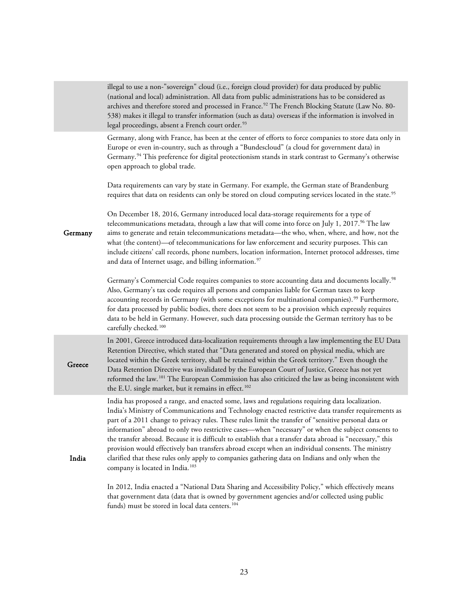|         | illegal to use a non-"sovereign" cloud (i.e., foreign cloud provider) for data produced by public<br>(national and local) administration. All data from public administrations has to be considered as<br>archives and therefore stored and processed in France. <sup>92</sup> The French Blocking Statute (Law No. 80-<br>538) makes it illegal to transfer information (such as data) overseas if the information is involved in<br>legal proceedings, absent a French court order. <sup>93</sup>                                                                                                                                                                                                                                                                                       |
|---------|-------------------------------------------------------------------------------------------------------------------------------------------------------------------------------------------------------------------------------------------------------------------------------------------------------------------------------------------------------------------------------------------------------------------------------------------------------------------------------------------------------------------------------------------------------------------------------------------------------------------------------------------------------------------------------------------------------------------------------------------------------------------------------------------|
|         | Germany, along with France, has been at the center of efforts to force companies to store data only in<br>Europe or even in-country, such as through a "Bundescloud" (a cloud for government data) in<br>Germany. <sup>94</sup> This preference for digital protectionism stands in stark contrast to Germany's otherwise<br>open approach to global trade.                                                                                                                                                                                                                                                                                                                                                                                                                               |
|         | Data requirements can vary by state in Germany. For example, the German state of Brandenburg<br>requires that data on residents can only be stored on cloud computing services located in the state. <sup>95</sup>                                                                                                                                                                                                                                                                                                                                                                                                                                                                                                                                                                        |
| Germany | On December 18, 2016, Germany introduced local data-storage requirements for a type of<br>telecommunications metadata, through a law that will come into force on July 1, 2017. <sup>96</sup> The law<br>aims to generate and retain telecommunications metadata—the who, when, where, and how, not the<br>what (the content)—of telecommunications for law enforcement and security purposes. This can<br>include citizens' call records, phone numbers, location information, Internet protocol addresses, time<br>and data of Internet usage, and billing information. <sup>97</sup>                                                                                                                                                                                                   |
|         | Germany's Commercial Code requires companies to store accounting data and documents locally. <sup>98</sup><br>Also, Germany's tax code requires all persons and companies liable for German taxes to keep<br>accounting records in Germany (with some exceptions for multinational companies). <sup>99</sup> Furthermore,<br>for data processed by public bodies, there does not seem to be a provision which expressly requires<br>data to be held in Germany. However, such data processing outside the German territory has to be<br>carefully checked. <sup>100</sup>                                                                                                                                                                                                                 |
| Greece  | In 2001, Greece introduced data-localization requirements through a law implementing the EU Data<br>Retention Directive, which stated that "Data generated and stored on physical media, which are<br>located within the Greek territory, shall be retained within the Greek territory." Even though the<br>Data Retention Directive was invalidated by the European Court of Justice, Greece has not yet<br>reformed the law. <sup>101</sup> The European Commission has also criticized the law as being inconsistent with<br>the E.U. single market, but it remains in effect. <sup>102</sup>                                                                                                                                                                                          |
| India   | India has proposed a range, and enacted some, laws and regulations requiring data localization.<br>India's Ministry of Communications and Technology enacted restrictive data transfer requirements as<br>part of a 2011 change to privacy rules. These rules limit the transfer of "sensitive personal data or<br>information" abroad to only two restrictive cases—when "necessary" or when the subject consents to<br>the transfer abroad. Because it is difficult to establish that a transfer data abroad is "necessary," this<br>provision would effectively ban transfers abroad except when an individual consents. The ministry<br>clarified that these rules only apply to companies gathering data on Indians and only when the<br>company is located in India. <sup>103</sup> |
|         | In 2012, India enacted a "National Data Sharing and Accessibility Policy," which effectively means                                                                                                                                                                                                                                                                                                                                                                                                                                                                                                                                                                                                                                                                                        |

that government data (data that is owned by government agencies and/or collected using public funds) must be stored in local data centers.<sup>[104](#page-34-13)</sup>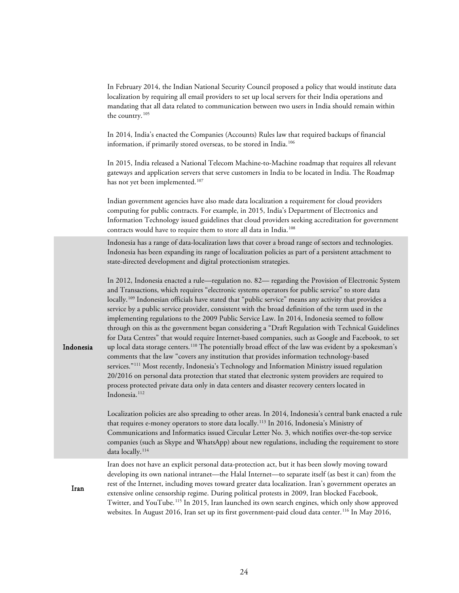| In February 2014, the Indian National Security Council proposed a policy that would institute data   |
|------------------------------------------------------------------------------------------------------|
| localization by requiring all email providers to set up local servers for their India operations and |
| mandating that all data related to communication between two users in India should remain within     |
| the country. $105$                                                                                   |

In 2014, India's enacted the Companies (Accounts) Rules law that required backups of financial information, if primarily stored overseas, to be stored in India. [106](#page-34-15)

In 2015, India released a National Telecom Machine-to-Machine roadmap that requires all relevant gateways and application servers that serve customers in India to be located in India. The Roadmap has not yet been implemented.<sup>[107](#page-34-16)</sup>

Indian government agencies have also made data localization a requirement for cloud providers computing for public contracts. For example, in 2015, India's Department of Electronics and Information Technology issued guidelines that cloud providers seeking accreditation for government contracts would have to require them to store all data in India.<sup>[108](#page-34-17)</sup>

Indonesia has a range of data-localization laws that cover a broad range of sectors and technologies. Indonesia has been expanding its range of localization policies as part of a persistent attachment to state-directed development and digital protectionism strategies.

In 2012, Indonesia enacted a rule—regulation no. 82— regarding the Provision of Electronic System and Transactions, which requires "electronic systems operators for public service" to store data locally.<sup>[109](#page-35-0)</sup> Indonesian officials have stated that "public service" means any activity that provides a service by a public service provider, consistent with the broad definition of the term used in the implementing regulations to the 2009 Public Service Law. In 2014, Indonesia seemed to follow through on this as the government began considering a "Draft Regulation with Technical Guidelines for Data Centres" that would require Internet-based companies, such as Google and Facebook, to set up local data storage centers. [110](#page-35-1) The potentially broad effect of the law was evident by a spokesman's comments that the law "covers any institution that provides information technology-based services."<sup>[111](#page-35-2)</sup> Most recently, Indonesia's Technology and Information Ministry issued regulation 20/2016 on personal data protection that stated that electronic system providers are required to process protected private data only in data centers and disaster recovery centers located in Indonesia. [112](#page-35-3)

Indonesia

Iran

Localization policies are also spreading to other areas. In 2014, Indonesia's central bank enacted a rule that requires e-money operators to store data locally.<sup>[113](#page-35-4)</sup> In 2016, Indonesia's Ministry of Communications and Informatics issued Circular Letter No. 3, which notifies over-the-top service companies (such as Skype and WhatsApp) about new regulations, including the requirement to store data locally.<sup>114</sup>

Iran does not have an explicit personal data-protection act, but it has been slowly moving toward developing its own national intranet—the Halal Internet—to separate itself (as best it can) from the rest of the Internet, including moves toward greater data localization. Iran's government operates an extensive online censorship regime. During political protests in 2009, Iran blocked Facebook, Twitter, and YouTube.[115](#page-35-6) In 2015, Iran launched its own search engines, which only show approved websites. In August 2016, Iran set up its first government-paid cloud data center.<sup>[116](#page-35-7)</sup> In May 2016,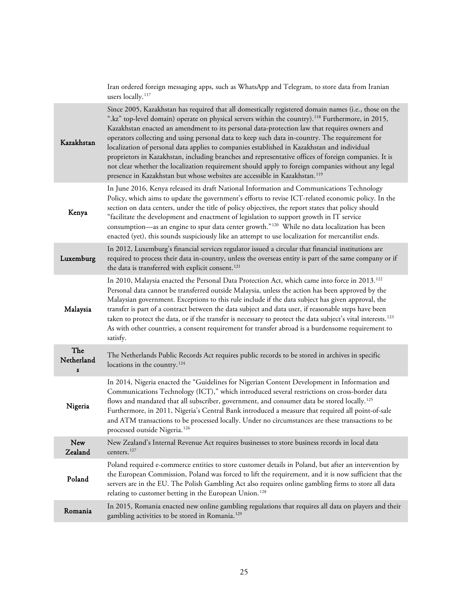|                        | Iran ordered foreign messaging apps, such as WhatsApp and Telegram, to store data from Iranian<br>users locally. <sup>117</sup>                                                                                                                                                                                                                                                                                                                                                                                                                                                                                                                                                                                                                                                                                                 |
|------------------------|---------------------------------------------------------------------------------------------------------------------------------------------------------------------------------------------------------------------------------------------------------------------------------------------------------------------------------------------------------------------------------------------------------------------------------------------------------------------------------------------------------------------------------------------------------------------------------------------------------------------------------------------------------------------------------------------------------------------------------------------------------------------------------------------------------------------------------|
| Kazakhstan             | Since 2005, Kazakhstan has required that all domestically registered domain names (i.e., those on the<br>".kz" top-level domain) operate on physical servers within the country). <sup>118</sup> Furthermore, in 2015,<br>Kazakhstan enacted an amendment to its personal data-protection law that requires owners and<br>operators collecting and using personal data to keep such data in-country. The requirement for<br>localization of personal data applies to companies established in Kazakhstan and individual<br>proprietors in Kazakhstan, including branches and representative offices of foreign companies. It is<br>not clear whether the localization requirement should apply to foreign companies without any legal<br>presence in Kazakhstan but whose websites are accessible in Kazakhstan. <sup>119</sup> |
| Kenya                  | In June 2016, Kenya released its draft National Information and Communications Technology<br>Policy, which aims to update the government's efforts to revise ICT-related economic policy. In the<br>section on data centers, under the title of policy objectives, the report states that policy should<br>"facilitate the development and enactment of legislation to support growth in IT service<br>consumption-as an engine to spur data center growth." <sup>120</sup> While no data localization has been<br>enacted (yet), this sounds suspiciously like an attempt to use localization for mercantilist ends.                                                                                                                                                                                                           |
| Luxemburg              | In 2012, Luxemburg's financial services regulator issued a circular that financial institutions are<br>required to process their data in-country, unless the overseas entity is part of the same company or if<br>the data is transferred with explicit consent. <sup>121</sup>                                                                                                                                                                                                                                                                                                                                                                                                                                                                                                                                                 |
| Malaysia               | In 2010, Malaysia enacted the Personal Data Protection Act, which came into force in 2013. <sup>122</sup><br>Personal data cannot be transferred outside Malaysia, unless the action has been approved by the<br>Malaysian government. Exceptions to this rule include if the data subject has given approval, the<br>transfer is part of a contract between the data subject and data user, if reasonable steps have been<br>taken to protect the data, or if the transfer is necessary to protect the data subject's vital interests. <sup>123</sup><br>As with other countries, a consent requirement for transfer abroad is a burdensome requirement to<br>satisfy.                                                                                                                                                         |
| The<br>Netherland<br>S | The Netherlands Public Records Act requires public records to be stored in archives in specific<br>locations in the country. <sup>124</sup>                                                                                                                                                                                                                                                                                                                                                                                                                                                                                                                                                                                                                                                                                     |
| Nigeria                | In 2014, Nigeria enacted the "Guidelines for Nigerian Content Development in Information and<br>Communications Technology (ICT)," which introduced several restrictions on cross-border data<br>flows and mandated that all subscriber, government, and consumer data be stored locally. <sup>125</sup><br>Furthermore, in 2011, Nigeria's Central Bank introduced a measure that required all point-of-sale<br>and ATM transactions to be processed locally. Under no circumstances are these transactions to be<br>processed outside Nigeria. <sup>126</sup>                                                                                                                                                                                                                                                                  |
| New<br>Zealand         | New Zealand's Internal Revenue Act requires businesses to store business records in local data<br>centers. <sup>127</sup>                                                                                                                                                                                                                                                                                                                                                                                                                                                                                                                                                                                                                                                                                                       |
| Poland                 | Poland required e-commerce entities to store customer details in Poland, but after an intervention by<br>the European Commission, Poland was forced to lift the requirement, and it is now sufficient that the<br>servers are in the EU. The Polish Gambling Act also requires online gambling firms to store all data<br>relating to customer betting in the European Union. <sup>128</sup>                                                                                                                                                                                                                                                                                                                                                                                                                                    |
| Romania                | In 2015, Romania enacted new online gambling regulations that requires all data on players and their<br>gambling activities to be stored in Romania. <sup>129</sup>                                                                                                                                                                                                                                                                                                                                                                                                                                                                                                                                                                                                                                                             |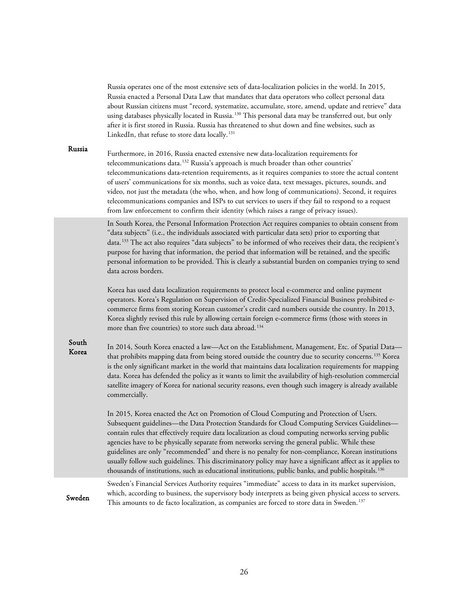Russia operates one of the most extensive sets of data-localization policies in the world. In 2015, Russia enacted a Personal Data Law that mandates that data operators who collect personal data about Russian citizens must "record, systematize, accumulate, store, amend, update and retrieve" data using databases physically located in Russia.<sup>[130](#page-36-3)</sup> This personal data may be transferred out, but only after it is first stored in Russia. Russia has threatened to shut down and fine websites, such as LinkedIn, that refuse to store data locally.<sup>[131](#page-36-4)</sup>

#### Russia

Furthermore, in 2016, Russia enacted extensive new data-localization requirements for telecommunications data.[132](#page-36-5) Russia's approach is much broader than other countries' telecommunications data-retention requirements, as it requires companies to store the actual content of users' communications for six months, such as voice data, text messages, pictures, sounds, and video, not just the metadata (the who, when, and how long of communications). Second, it requires telecommunications companies and ISPs to cut services to users if they fail to respond to a request from law enforcement to confirm their identity (which raises a range of privacy issues).

In South Korea, the Personal Information Protection Act requires companies to obtain consent from "data subjects" (i.e., the individuals associated with particular data sets) prior to exporting that data.<sup>[133](#page-36-6)</sup> The act also requires "data subjects" to be informed of who receives their data, the recipient's purpose for having that information, the period that information will be retained, and the specific personal information to be provided. This is clearly a substantial burden on companies trying to send data across borders.

Korea has used data localization requirements to protect local e-commerce and online payment operators. Korea's Regulation on Supervision of Credit-Specialized Financial Business prohibited ecommerce firms from storing Korean customer's credit card numbers outside the country. In 2013, Korea slightly revised this rule by allowing certain foreign e-commerce firms (those with stores in more than five countries) to store such data abroad.<sup>[134](#page-36-7)</sup>

#### South Korea

In 2014, South Korea enacted a law—Act on the Establishment, Management, Etc. of Spatial Data— that prohibits mapping data from being stored outside the country due to security concerns.<sup>[135](#page-36-8)</sup> Korea is the only significant market in the world that maintains data localization requirements for mapping data. Korea has defended the policy as it wants to limit the availability of high-resolution commercial satellite imagery of Korea for national security reasons, even though such imagery is already available commercially.

In 2015, Korea enacted the Act on Promotion of Cloud Computing and Protection of Users. Subsequent guidelines—the Data Protection Standards for Cloud Computing Services Guidelines contain rules that effectively require data localization as cloud computing networks serving public agencies have to be physically separate from networks serving the general public. While these guidelines are only "recommended" and there is no penalty for non-compliance, Korean institutions usually follow such guidelines. This discriminatory policy may have a significant affect as it applies to thousands of institutions, such as educational institutions, public banks, and public hospitals.[136](#page-36-9) 

Sweden

Sweden's Financial Services Authority requires "immediate" access to data in its market supervision, which, according to business, the supervisory body interprets as being given physical access to servers. This amounts to de facto localization, as companies are forced to store data in Sweden.<sup>[137](#page-36-10)</sup>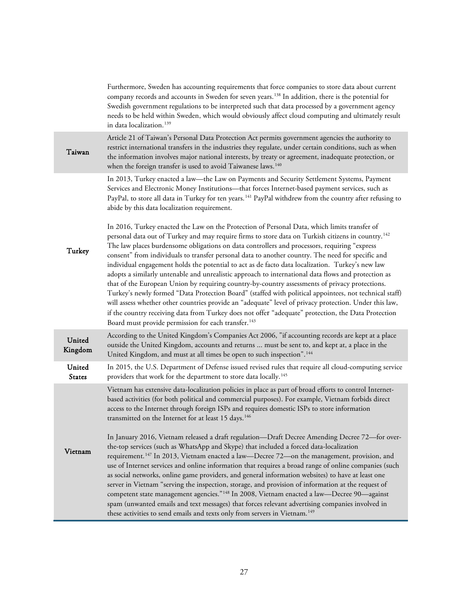|                         | Furthermore, Sweden has accounting requirements that force companies to store data about current<br>company records and accounts in Sweden for seven years. <sup>138</sup> In addition, there is the potential for<br>Swedish government regulations to be interpreted such that data processed by a government agency<br>needs to be held within Sweden, which would obviously affect cloud computing and ultimately result<br>in data localization. <sup>139</sup>                                                                                                                                                                                                                                                                                                                                                                                                                                                                                                                                                                                                                                                                                                                                                   |
|-------------------------|------------------------------------------------------------------------------------------------------------------------------------------------------------------------------------------------------------------------------------------------------------------------------------------------------------------------------------------------------------------------------------------------------------------------------------------------------------------------------------------------------------------------------------------------------------------------------------------------------------------------------------------------------------------------------------------------------------------------------------------------------------------------------------------------------------------------------------------------------------------------------------------------------------------------------------------------------------------------------------------------------------------------------------------------------------------------------------------------------------------------------------------------------------------------------------------------------------------------|
| Taiwan                  | Article 21 of Taiwan's Personal Data Protection Act permits government agencies the authority to<br>restrict international transfers in the industries they regulate, under certain conditions, such as when<br>the information involves major national interests, by treaty or agreement, inadequate protection, or<br>when the foreign transfer is used to avoid Taiwanese laws. <sup>140</sup>                                                                                                                                                                                                                                                                                                                                                                                                                                                                                                                                                                                                                                                                                                                                                                                                                      |
|                         | In 2013, Turkey enacted a law—the Law on Payments and Security Settlement Systems, Payment<br>Services and Electronic Money Institutions—that forces Internet-based payment services, such as<br>PayPal, to store all data in Turkey for ten years. <sup>141</sup> PayPal withdrew from the country after refusing to<br>abide by this data localization requirement.                                                                                                                                                                                                                                                                                                                                                                                                                                                                                                                                                                                                                                                                                                                                                                                                                                                  |
| Turkey                  | In 2016, Turkey enacted the Law on the Protection of Personal Data, which limits transfer of<br>personal data out of Turkey and may require firms to store data on Turkish citizens in country. <sup>142</sup><br>The law places burdensome obligations on data controllers and processors, requiring "express<br>consent" from individuals to transfer personal data to another country. The need for specific and<br>individual engagement holds the potential to act as de facto data localization. Turkey's new law<br>adopts a similarly untenable and unrealistic approach to international data flows and protection as<br>that of the European Union by requiring country-by-country assessments of privacy protections.<br>Turkey's newly formed "Data Protection Board" (staffed with political appointees, not technical staff)<br>will assess whether other countries provide an "adequate" level of privacy protection. Under this law,<br>if the country receiving data from Turkey does not offer "adequate" protection, the Data Protection<br>Board must provide permission for each transfer. <sup>143</sup>                                                                                         |
| United<br>Kingdom       | According to the United Kingdom's Companies Act 2006, "if accounting records are kept at a place<br>outside the United Kingdom, accounts and returns  must be sent to, and kept at, a place in the<br>United Kingdom, and must at all times be open to such inspection". <sup>144</sup>                                                                                                                                                                                                                                                                                                                                                                                                                                                                                                                                                                                                                                                                                                                                                                                                                                                                                                                                |
| United<br><b>States</b> | In 2015, the U.S. Department of Defense issued revised rules that require all cloud-computing service<br>providers that work for the department to store data locally. <sup>145</sup>                                                                                                                                                                                                                                                                                                                                                                                                                                                                                                                                                                                                                                                                                                                                                                                                                                                                                                                                                                                                                                  |
| Vietnam                 | Vietnam has extensive data-localization policies in place as part of broad efforts to control Internet-<br>based activities (for both political and commercial purposes). For example, Vietnam forbids direct<br>access to the Internet through foreign ISPs and requires domestic ISPs to store information<br>transmitted on the Internet for at least 15 days. <sup>146</sup><br>In January 2016, Vietnam released a draft regulation—Draft Decree Amending Decree 72—for over-<br>the-top services (such as WhatsApp and Skype) that included a forced data-localization<br>requirement. <sup>147</sup> In 2013, Vietnam enacted a law-Decree 72-on the management, provision, and<br>use of Internet services and online information that requires a broad range of online companies (such<br>as social networks, online game providers, and general information websites) to have at least one<br>server in Vietnam "serving the inspection, storage, and provision of information at the request of<br>competent state management agencies." <sup>148</sup> In 2008, Vietnam enacted a law-Decree 90-against<br>spam (unwanted emails and text messages) that forces relevant advertising companies involved in |
|                         | these activities to send emails and texts only from servers in Vietnam. <sup>149</sup>                                                                                                                                                                                                                                                                                                                                                                                                                                                                                                                                                                                                                                                                                                                                                                                                                                                                                                                                                                                                                                                                                                                                 |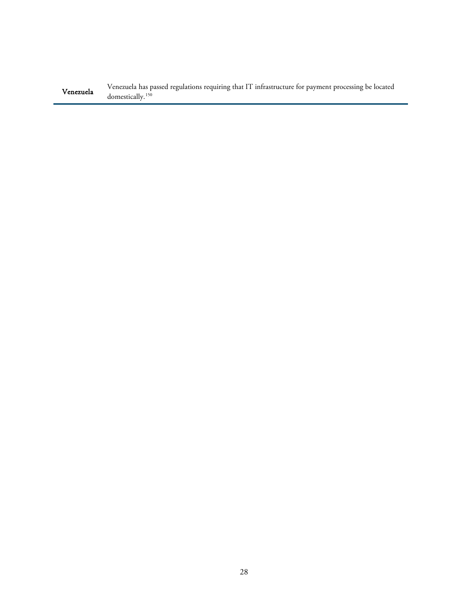Venezuela has passed regulations requiring that IT infrastructure for payment processing be located domestically.<sup>[150](#page-37-3)</sup>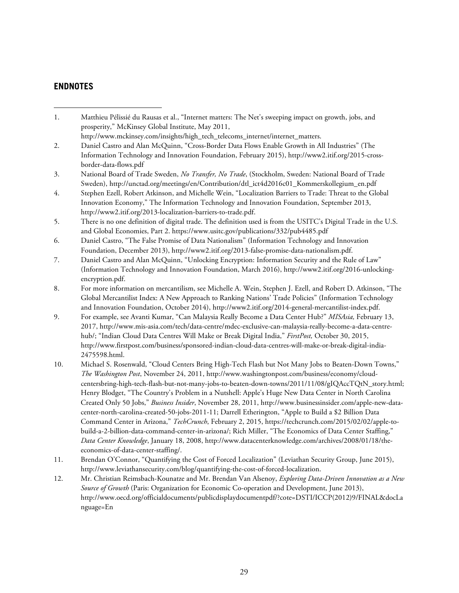## <span id="page-28-0"></span>**ENDNOTES**

 $\overline{a}$ 

<span id="page-28-1"></span>1. Matthieu Pélissié du Rausas et al., "Internet matters: The Net's sweeping impact on growth, jobs, and prosperity," McKinsey Global Institute, May 2011,

http://www.mckinsey.com/insights/high\_tech\_telecoms\_internet/internet\_matters.

- <span id="page-28-2"></span>2. Daniel Castro and Alan McQuinn, "Cross-Border Data Flows Enable Growth in All Industries" (The Information Technology and Innovation Foundation, February 2015), http://www2.itif.org/2015-crossborder-data-flows.pdf
- <span id="page-28-3"></span>3. National Board of Trade Sweden, *No Transfer, No Trade*, (Stockholm, Sweden: National Board of Trade Sweden), http://unctad.org/meetings/en/Contribution/dtl\_ict4d2016c01\_Kommerskollegium\_en.pdf
- <span id="page-28-4"></span>4. Stephen Ezell, Robert Atkinson, and Michelle Wein, "Localization Barriers to Trade: Threat to the Global Innovation Economy," The Information Technology and Innovation Foundation, September 2013, http://www2.itif.org/2013-localization-barriers-to-trade.pdf.
- <span id="page-28-5"></span>5. There is no one definition of digital trade. The definition used is from the USITC's Digital Trade in the U.S. and Global Economies, Part 2. https://www.usitc.gov/publications/332/pub4485.pdf
- <span id="page-28-6"></span>6. Daniel Castro, "The False Promise of Data Nationalism" (Information Technology and Innovation Foundation, December 2013), http://www2.itif.org/2013-false-promise-data-nationalism.pdf.
- <span id="page-28-7"></span>7. Daniel Castro and Alan McQuinn, "Unlocking Encryption: Information Security and the Rule of Law" (Information Technology and Innovation Foundation, March 2016), http://www2.itif.org/2016-unlockingencryption.pdf.
- <span id="page-28-8"></span>8. For more information on mercantilism, see Michelle A. Wein, Stephen J. Ezell, and Robert D. Atkinson, "The Global Mercantilist Index: A New Approach to Ranking Nations' Trade Policies" (Information Technology and Innovation Foundation, October 2014), http://www2.itif.org/2014-general-mercantilist-index.pdf.
- <span id="page-28-9"></span>9. For example, see Avanti Kumar, "Can Malaysia Really Become a Data Center Hub?" *MISAsia,* February 13, 2017, [http://www.mis-asia.com/tech/data-centre/mdec-exclusive-can-malaysia-really-become-a-data-centre](http://www.mis-asia.com/tech/data-centre/mdec-exclusive-can-malaysia-really-become-a-data-centre-hub/)[hub/;](http://www.mis-asia.com/tech/data-centre/mdec-exclusive-can-malaysia-really-become-a-data-centre-hub/) "Indian Cloud Data Centres Will Make or Break Digital India," *FirstPost,* October 30, 2015, http://www.firstpost.com/business/sponsored-indian-cloud-data-centres-will-make-or-break-digital-india-2475598.html.
- <span id="page-28-10"></span>10. Michael S. Rosenwald, "Cloud Centers Bring High-Tech Flash but Not Many Jobs to Beaten-Down Towns," *The Washington Post*, November 24, 2011, http://www.washingtonpost.com/business/economy/cloudcentersbring-high-tech-flash-but-not-many-jobs-to-beaten-down-towns/2011/11/08/gIQAccTQtN\_story.html; Henry Blodget, "The Country's Problem in a Nutshell: Apple's Huge New Data Center in North Carolina Created Only 50 Jobs," *Business Insider*, November 28, 2011, http://www.businessinsider.com/apple-new-datacenter-north-carolina-created-50-jobs-2011-11; Darrell Etherington, "Apple to Build a \$2 Billion Data Command Center in Arizona," *TechCrunch*, February 2, 2015, https://techcrunch.com/2015/02/02/apple-tobuild-a-2-billion-data-command-center-in-arizona/; Rich Miller, "The Economics of Data Center Staffing," *Data Center Knowledge*, January 18, 2008, http://www.datacenterknowledge.com/archives/2008/01/18/theeconomics-of-data-center-staffing/.
- <span id="page-28-11"></span>11. Brendan O'Connor, "Quantifying the Cost of Forced Localization" (Leviathan Security Group, June 2015), http://www.leviathansecurity.com/blog/quantifying-the-cost-of-forced-localization.
- <span id="page-28-12"></span>12. Mr. Christian Reimsbach-Kounatze and Mr. Brendan Van Alsenoy, *Exploring Data-Driven Innovation as a New Source of Growth* (Paris: Organization for Economic Co-operation and Development, June 2013), http://www.oecd.org/officialdocuments/publicdisplaydocumentpdf/?cote=DSTI/ICCP(2012)9/FINAL&docLa nguage=En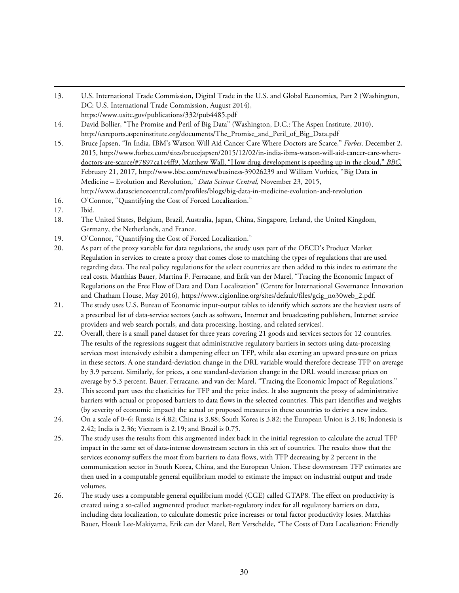- <span id="page-29-0"></span>13. U.S. International Trade Commission, Digital Trade in the U.S. and Global Economies, Part 2 (Washington, DC: U.S. International Trade Commission, August 2014), https://www.usitc.gov/publications/332/pub4485.pdf
- <span id="page-29-1"></span>14. David Bollier, "The Promise and Peril of Big Data" (Washington, D.C.: The Aspen Institute, 2010), http://csreports.aspeninstitute.org/documents/The\_Promise\_and\_Peril\_of\_Big\_Data.pdf
- <span id="page-29-2"></span>15. Bruce Japsen, "In India, IBM's Watson Will Aid Cancer Care Where Doctors are Scarce," *Forbes,* December 2, 2015, [http://www.forbes.com/sites/brucejapsen/2015/12/02/in-india-ibms-watson-will-aid-cancer-care-where](http://www.forbes.com/sites/brucejapsen/2015/12/02/in-india-ibms-watson-will-aid-cancer-care-where-doctors-are-scarce/#7897ca1c4ff9)[doctors-are-scarce/#7897ca1c4ff9,](http://www.forbes.com/sites/brucejapsen/2015/12/02/in-india-ibms-watson-will-aid-cancer-care-where-doctors-are-scarce/#7897ca1c4ff9) Matthew Wall, "How drug development is speeding up in the cloud," *BBC,*  February 21, 2017, <http://www.bbc.com/news/business-39026239> and William Vorhies, "Big Data in Medicine – Evolution and Revolution," *Data Science Central,* November 23, 2015, http://www.datasciencecentral.com/profiles/blogs/big-data-in-medicine-evolution-and-revolution
- <span id="page-29-3"></span>16. O'Connor, "Quantifying the Cost of Forced Localization."
- <span id="page-29-4"></span>17. Ibid.

1

- <span id="page-29-5"></span>18. The United States, Belgium, Brazil, Australia, Japan, China, Singapore, Ireland, the United Kingdom, Germany, the Netherlands, and France.
- <span id="page-29-6"></span>19. O'Connor, "Quantifying the Cost of Forced Localization."
- <span id="page-29-7"></span>20. As part of the proxy variable for data regulations, the study uses part of the OECD's Product Market Regulation in services to create a proxy that comes close to matching the types of regulations that are used regarding data. The real policy regulations for the select countries are then added to this index to estimate the real costs. Matthias Bauer, Martina F. Ferracane, and Erik van der Marel, "Tracing the Economic Impact of Regulations on the Free Flow of Data and Data Localization" (Centre for International Governance Innovation and Chatham House, May 2016), https://www.cigionline.org/sites/default/files/gcig\_no30web\_2.pdf.
- <span id="page-29-8"></span>21. The study uses U.S. Bureau of Economic input-output tables to identify which sectors are the heaviest users of a prescribed list of data-service sectors (such as software, Internet and broadcasting publishers, Internet service providers and web search portals, and data processing, hosting, and related services).
- <span id="page-29-9"></span>22. Overall, there is a small panel dataset for three years covering 21 goods and services sectors for 12 countries. The results of the regressions suggest that administrative regulatory barriers in sectors using data-processing services most intensively exhibit a dampening effect on TFP, while also exerting an upward pressure on prices in these sectors. A one standard-deviation change in the DRL variable would therefore decrease TFP on average by 3.9 percent. Similarly, for prices, a one standard-deviation change in the DRL would increase prices on average by 5.3 percent. Bauer, Ferracane, and van der Marel, "Tracing the Economic Impact of Regulations."
- <span id="page-29-10"></span>23. This second part uses the elasticities for TFP and the price index. It also augments the proxy of administrative barriers with actual or proposed barriers to data flows in the selected countries. This part identifies and weights (by severity of economic impact) the actual or proposed measures in these countries to derive a new index.
- <span id="page-29-11"></span>24. On a scale of 0–6: Russia is 4.82; China is 3.88; South Korea is 3.82; the European Union is 3.18; Indonesia is 2.42; India is 2.36; Vietnam is 2.19; and Brazil is 0.75.
- <span id="page-29-12"></span>25. The study uses the results from this augmented index back in the initial regression to calculate the actual TFP impact in the same set of data-intense downstream sectors in this set of countries. The results show that the services economy suffers the most from barriers to data flows, with TFP decreasing by 2 percent in the communication sector in South Korea, China, and the European Union. These downstream TFP estimates are then used in a computable general equilibrium model to estimate the impact on industrial output and trade volumes.
- <span id="page-29-13"></span>26. The study uses a computable general equilibrium model (CGE) called GTAP8. The effect on productivity is created using a so-called augmented product market-regulatory index for all regulatory barriers on data, including data localization, to calculate domestic price increases or total factor productivity losses. Matthias Bauer, Hosuk Lee-Makiyama, Erik can der Marel, Bert Verschelde, "The Costs of Data Localisation: Friendly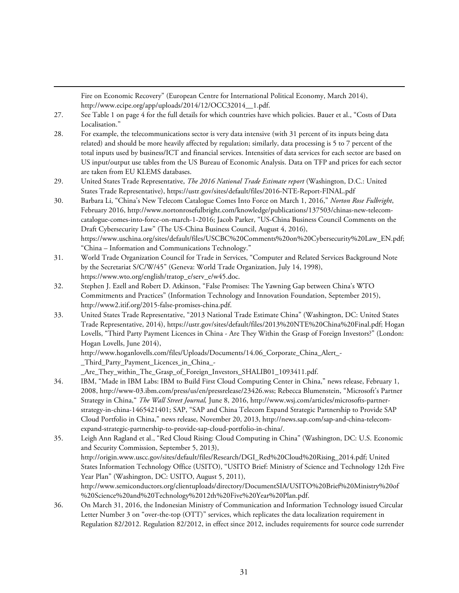Fire on Economic Recovery" (European Centre for International Political Economy, March 2014), [http://www.ecipe.org/app/uploads/2014/12/OCC32014\\_\\_1.pdf.](http://www.ecipe.org/app/uploads/2014/12/OCC32014__1.pdf)

1

- <span id="page-30-0"></span>27. See Table 1 on page 4 for the full details for which countries have which policies. Bauer et al., "Costs of Data Localisation."
- <span id="page-30-1"></span>28. For example, the telecommunications sector is very data intensive (with 31 percent of its inputs being data related) and should be more heavily affected by regulation; similarly, data processing is 5 to 7 percent of the total inputs used by business/ICT and financial services. Intensities of data services for each sector are based on US input/output use tables from the US Bureau of Economic Analysis. Data on TFP and prices for each sector are taken from EU KLEMS databases.
- <span id="page-30-2"></span>29. United States Trade Representative, *The 2016 National Trade Estimate report* (Washington, D.C.: United States Trade Representative), https://ustr.gov/sites/default/files/2016-NTE-Report-FINAL.pdf
- <span id="page-30-3"></span>30. Barbara Li, "China's New Telecom Catalogue Comes Into Force on March 1, 2016," *Norton Rose Fulbright*, February 2016, [http://www.nortonrosefulbright.com/knowledge/publications/137503/chinas-new-telecom](http://www.nortonrosefulbright.com/knowledge/publications/137503/chinas-new-telecom-catalogue-comes-into-force-on-march-1-2016)[catalogue-comes-into-force-on-march-1-2016;](http://www.nortonrosefulbright.com/knowledge/publications/137503/chinas-new-telecom-catalogue-comes-into-force-on-march-1-2016) Jacob Parker, "US-China Business Council Comments on the Draft Cybersecurity Law" (The US-China Business Council, August 4, 2016), [https://www.uschina.org/sites/default/files/USCBC%20Comments%20on%20Cybersecurity%20Law\\_EN.pdf;](https://www.uschina.org/sites/default/files/USCBC%20Comments%20on%20Cybersecurity%20Law_EN.pdf)  "China – Information and Communications Technology."
- <span id="page-30-4"></span>31. World Trade Organization Council for Trade in Services, "Computer and Related Services Background Note by the Secretariat S/C/W/45" (Geneva: World Trade Organization, July 14, 1998), https://www.wto.org/english/tratop\_e/serv\_e/w45.doc.
- <span id="page-30-5"></span>32. Stephen J. Ezell and Robert D. Atkinson, "False Promises: The Yawning Gap between China's WTO Commitments and Practices" (Information Technology and Innovation Foundation, September 2015), http://www2.itif.org/2015-false-promises-china.pdf.
- <span id="page-30-6"></span>33. United States Trade Representative, "2013 National Trade Estimate China" (Washington, DC: United States Trade Representative, 2014), [https://ustr.gov/sites/default/files/2013%20NTE%20China%20Final.pdf;](https://ustr.gov/sites/default/files/2013%20NTE%20China%20Final.pdf) Hogan Lovells, "Third Party Payment Licences in China - Are They Within the Grasp of Foreign Investors?" (London: Hogan Lovells, June 2014),

[http://www.hoganlovells.com/files/Uploads/Documents/14.06\\_Corporate\\_China\\_Alert\\_-](http://www.hoganlovells.com/files/Uploads/Documents/14.06_Corporate_China_Alert_-_Third_Party_Payment_Licences_in_China_-_Are_They_within_The_Grasp_of_Foreign_Investors_SHALIB01_1093411.pdf) [\\_Third\\_Party\\_Payment\\_Licences\\_in\\_China\\_-](http://www.hoganlovells.com/files/Uploads/Documents/14.06_Corporate_China_Alert_-_Third_Party_Payment_Licences_in_China_-_Are_They_within_The_Grasp_of_Foreign_Investors_SHALIB01_1093411.pdf)

[\\_Are\\_They\\_within\\_The\\_Grasp\\_of\\_Foreign\\_Investors\\_SHALIB01\\_1093411.pdf.](http://www.hoganlovells.com/files/Uploads/Documents/14.06_Corporate_China_Alert_-_Third_Party_Payment_Licences_in_China_-_Are_They_within_The_Grasp_of_Foreign_Investors_SHALIB01_1093411.pdf)

- <span id="page-30-7"></span>34. IBM, "Made in IBM Labs: IBM to Build First Cloud Computing Center in China," news release, February 1, 2008, [http://www-03.ibm.com/press/us/en/pressrelease/23426.wss;](http://www-03.ibm.com/press/us/en/pressrelease/23426.wss) Rebecca Blumenstein, "Microsoft's Partner Strategy in China," *The Wall Street Journal,* June 8, 2016, [http://www.wsj.com/articles/microsofts-partner](http://www.wsj.com/articles/microsofts-partner-strategy-in-china-1465421401)[strategy-in-china-1465421401;](http://www.wsj.com/articles/microsofts-partner-strategy-in-china-1465421401) SAP, "SAP and China Telecom Expand Strategic Partnership to Provide SAP Cloud Portfolio in China," news release, November 20, 2013, http://news.sap.com/sap-and-china-telecomexpand-strategic-partnership-to-provide-sap-cloud-portfolio-in-china/.
- <span id="page-30-8"></span>35. Leigh Ann Ragland et al., "Red Cloud Rising: Cloud Computing in China" (Washington, DC: U.S. Economic and Security Commission, September 5, 2013), [http://origin.www.uscc.gov/sites/default/files/Research/DGI\\_Red%20Cloud%20Rising\\_2014.pdf;](http://origin.www.uscc.gov/sites/default/files/Research/DGI_Red%20Cloud%20Rising_2014.pdf) United States Information Technology Office (USITO), "USITO Brief: Ministry of Science and Technology 12th Five Year Plan" (Washington, DC: USITO, August 5, 2011), http://www.semiconductors.org/clientuploads/directory/DocumentSIA/USITO%20Brief%20Ministry%20of %20Science%20and%20Technology%2012th%20Five%20Year%20Plan.pdf.
- <span id="page-30-9"></span>36. On March 31, 2016, the Indonesian Ministry of Communication and Information Technology issued Circular Letter Number 3 on "over-the-top (OTT)" services, which replicates the data localization requirement in Regulation 82/2012. Regulation 82/2012, in effect since 2012, includes requirements for source code surrender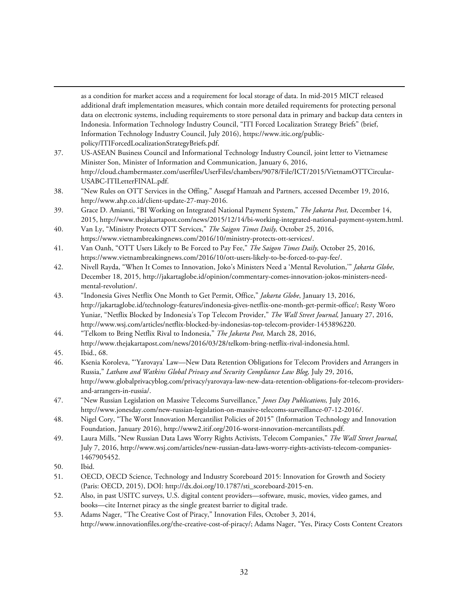as a condition for market access and a requirement for local storage of data. In mid-2015 MICT released additional draft implementation measures, which contain more detailed requirements for protecting personal data on electronic systems, including requirements to store personal data in primary and backup data centers in Indonesia. Information Technology Industry Council, "ITI Forced Localization Strategy Briefs" (brief, Information Technology Industry Council, July 2016), [https://www.itic.org/public](https://www.itic.org/public-policy/ITIForcedLocalizationStrategyBriefs.pdf)[policy/ITIForcedLocalizationStrategyBriefs.pdf.](https://www.itic.org/public-policy/ITIForcedLocalizationStrategyBriefs.pdf)

- <span id="page-31-0"></span>37. US-ASEAN Business Council and Informational Technology Industry Council, joint letter to Vietnamese Minister Son, Minister of Information and Communication, January 6, 2016, http://cloud.chambermaster.com/userfiles/UserFiles/chambers/9078/File/ICT/2015/VietnamOTTCircular-USABC-ITILetterFINAL.pdf.
- <span id="page-31-1"></span>38. "New Rules on OTT Services in the Offing," Assegaf Hamzah and Partners, accessed December 19, 2016, http://www.ahp.co.id/client-update-27-may-2016.
- <span id="page-31-2"></span>39. Grace D. Amianti, "BI Working on Integrated National Payment System," *The Jakarta Post,* December 14, 2015, http://www.thejakartapost.com/news/2015/12/14/bi-working-integrated-national-payment-system.html.
- <span id="page-31-3"></span>40. Van Ly, "Ministry Protects OTT Services," *The Saigon Times Daily,* October 25, 2016, https://www.vietnambreakingnews.com/2016/10/ministry-protects-ott-services/.
- <span id="page-31-4"></span>41. Van Oanh, "OTT Users Likely to Be Forced to Pay Fee," *The Saigon Times Daily,* October 25, 2016, https://www.vietnambreakingnews.com/2016/10/ott-users-likely-to-be-forced-to-pay-fee/.
- <span id="page-31-5"></span>42. Nivell Rayda, "When It Comes to Innovation, Joko's Ministers Need a 'Mental Revolution,'" *Jakarta Globe*, December 18, 2015, http://jakartaglobe.id/opinion/commentary-comes-innovation-jokos-ministers-needmental-revolution/.
- <span id="page-31-6"></span>43. "Indonesia Gives Netflix One Month to Get Permit, Office," *Jakarta Globe*, January 13, 2016, [http://jakartaglobe.id/technology-features/indonesia-gives-netflix-one-month-get-permit-office/;](http://jakartaglobe.id/technology-features/indonesia-gives-netflix-one-month-get-permit-office/) Resty Woro Yuniar, "Netflix Blocked by Indonesia's Top Telecom Provider," *The Wall Street Journal,* January 27, 2016, http://www.wsj.com/articles/netflix-blocked-by-indonesias-top-telecom-provider-1453896220.
- <span id="page-31-7"></span>44. "Telkom to Bring Netflix Rival to Indonesia," *The Jakarta Post,* March 28, 2016, http://www.thejakartapost.com/news/2016/03/28/telkom-bring-netflix-rival-indonesia.html.
- <span id="page-31-8"></span>45. Ibid., 68.

1

- <span id="page-31-9"></span>46. Ksenia Koroleva, "'Yarovaya' Law—New Data Retention Obligations for Telecom Providers and Arrangers in Russia," *Latham and Watkins Global Privacy and Security Compliance Law Blog,* July 29, 2016, http://www.globalprivacyblog.com/privacy/yarovaya-law-new-data-retention-obligations-for-telecom-providersand-arrangers-in-russia/.
- <span id="page-31-10"></span>47. "New Russian Legislation on Massive Telecoms Surveillance," *Jones Day Publications,* July 2016, http://www.jonesday.com/new-russian-legislation-on-massive-telecoms-surveillance-07-12-2016/.
- <span id="page-31-11"></span>48. Nigel Cory, "The Worst Innovation Mercantilist Policies of 2015" (Information Technology and Innovation Foundation, January 2016), http://www2.itif.org/2016-worst-innovation-mercantilists.pdf.
- <span id="page-31-12"></span>49. Laura Mills, "New Russian Data Laws Worry Rights Activists, Telecom Companies," *The Wall Street Journal,*  July 7, 2016, http://www.wsj.com/articles/new-russian-data-laws-worry-rights-activists-telecom-companies-1467905452.
- <span id="page-31-13"></span>50. Ibid.
- <span id="page-31-14"></span>51. OECD, OECD Science, Technology and Industry Scoreboard 2015: Innovation for Growth and Society (Paris: OECD, 2015), DOI: http://dx.doi.org/10.1787/sti\_scoreboard-2015-en.
- <span id="page-31-15"></span>52. Also, in past USITC surveys, U.S. digital content providers—software, music, movies, video games, and books—cite Internet piracy as the single greatest barrier to digital trade.
- <span id="page-31-16"></span>53. Adams Nager, "The Creative Cost of Piracy," Innovation Files, October 3, 2014, http://www.innovationfiles.org/the-creative-cost-of-piracy/; Adams Nager, "Yes, Piracy Costs Content Creators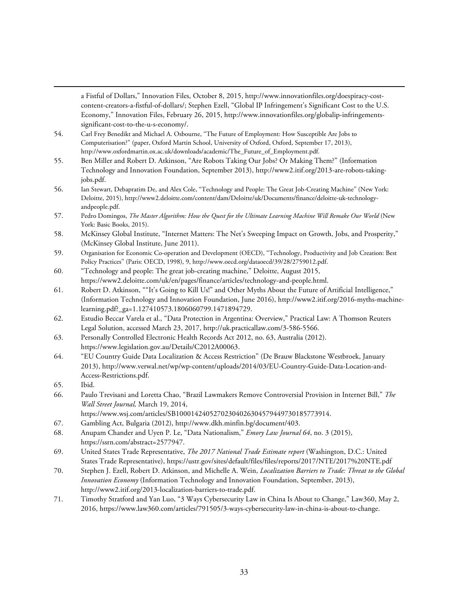a Fistful of Dollars," Innovation Files, October 8, 2015, http://www.innovationfiles.org/doespiracy-costcontent-creators-a-fistful-of-dollars/; Stephen Ezell, "Global IP Infringement's Significant Cost to the U.S. Economy," Innovation Files, February 26, 2015, http://www.innovationfiles.org/globalip-infringementssignificant-cost-to-the-u-s-economy/.

- <span id="page-32-0"></span>54. Carl Frey Benedikt and Michael A. Osbourne, ''The Future of Employment: How Susceptible Are Jobs to Computerisation?'' (paper, Oxford Martin School, University of Oxford, Oxford, September 17, 2013), http://www.oxfordmartin.ox.ac.uk/downloads/academic/The\_Future\_of\_Employment.pdf.
- <span id="page-32-1"></span>55. Ben Miller and Robert D. Atkinson, "Are Robots Taking Our Jobs? Or Making Them?" (Information Technology and Innovation Foundation, September 2013), http://www2.itif.org/2013-are-robots-takingjobs.pdf.
- <span id="page-32-2"></span>56. Ian Stewart, Debapratim De, and Alex Cole, ''Technology and People: The Great Job-Creating Machine'' (New York: Deloitte, 2015), http://www2.deloitte.com/content/dam/Deloitte/uk/Documents/finance/deloitte-uk-technologyandpeople.pdf.
- <span id="page-32-3"></span>57. Pedro Domingos, *The Master Algorithm: How the Quest for the Ultimate Learning Machine Will Remake Our World* (New York: Basic Books, 2015).
- <span id="page-32-4"></span>58. McKinsey Global Institute, "Internet Matters: The Net's Sweeping Impact on Growth, Jobs, and Prosperity," (McKinsey Global Institute, June 2011).
- <span id="page-32-5"></span>59. Organisation for Economic Co-operation and Development (OECD), ''Technology, Productivity and Job Creation: Best Policy Practices'' (Paris: OECD, 1998), 9, http://www.oecd.org/dataoecd/39/28/2759012.pdf.
- <span id="page-32-6"></span>60. "Technology and people: The great job-creating machine," Deloitte, August 2015, https://www2.deloitte.com/uk/en/pages/finance/articles/technology-and-people.html.
- <span id="page-32-7"></span>61. Robert D. Atkinson, ""It's Going to Kill Us!" and Other Myths About the Future of Artificial Intelligence," (Information Technology and Innovation Foundation, June 2016), http://www2.itif.org/2016-myths-machinelearning.pdf?\_ga=1.127410573.1806060799.1471894729.
- <span id="page-32-8"></span>62. Estudio Beccar Varela et al., "Data Protection in Argentina: Overview," Practical Law: A Thomson Reuters Legal Solution, accessed March 23, 2017, [http://uk.practicallaw.com/3-586-5566.](http://uk.practicallaw.com/3-586-5566)
- <span id="page-32-9"></span>63. Personally Controlled Electronic Health Records Act 2012, no. 63, Australia (2012). https://www.legislation.gov.au/Details/C2012A00063.
- <span id="page-32-10"></span>64. "EU Country Guide Data Localization & Access Restriction" (De Brauw Blackstone Westbroek, January 2013), http://www.verwal.net/wp/wp-content/uploads/2014/03/EU-Country-Guide-Data-Location-and-Access-Restrictions.pdf.
- <span id="page-32-11"></span>65. Ibid.

1

- <span id="page-32-12"></span>66. Paulo Trevisani and Loretta Chao, "Brazil Lawmakers Remove Controversial Provision in Internet Bill," *The Wall Street Journal,* March 19, 2014,
	- https://www.wsj.com/articles/SB10001424052702304026304579449730185773914.
- <span id="page-32-13"></span>67. Gambling Act, Bulgaria (2012), [http://www.dkh.minfin.bg/document/403.](http://www.dkh.minfin.bg/document/403)
- <span id="page-32-14"></span>68. Anupam Chander and Uyen P. Le, "Data Nationalism," *Emory Law Journal 64*, no. 3 (2015), https://ssrn.com/abstract=2577947.
- <span id="page-32-15"></span>69. United States Trade Representative, *The 2017 National Trade Estimate report* (Washington, D.C.: United States Trade Representative)[, https://ustr.gov/sites/default/files/files/reports/2017/NTE/2017%20NTE.pdf](https://ustr.gov/sites/default/files/files/reports/2017/NTE/2017%20NTE.pdf)
- <span id="page-32-16"></span>70. Stephen J. Ezell, Robert D. Atkinson, and Michelle A. Wein, *Localization Barriers to Trade: Threat to the Global Innovation Economy* (Information Technology and Innovation Foundation, September, 2013), http://www2.itif.org/2013-localization-barriers-to-trade.pdf.
- <span id="page-32-17"></span>71. Timothy Stratford and Yan Luo, "3 Ways Cybersecurity Law in China Is About to Change," Law360, May 2, 2016, https://www.law360.com/articles/791505/3-ways-cybersecurity-law-in-china-is-about-to-change.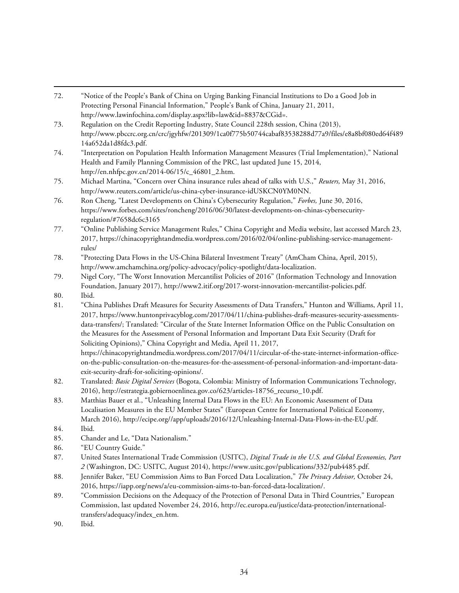- <span id="page-33-0"></span>72. "Notice of the People's Bank of China on Urging Banking Financial Institutions to Do a Good Job in Protecting Personal Financial Information," People's Bank of China, January 21, 2011, http://www.lawinfochina.com/display.aspx?lib=law&id=8837&CGid=.
- <span id="page-33-1"></span>73. Regulation on the Credit Reporting Industry, State Council 228th session, China (2013), http://www.pbccrc.org.cn/crc/jgyhfw/201309/1ca0f775b50744cabaf83538288d77a9/files/e8a8bf080ed64f489 14a652da1d8fdc3.pdf.
- <span id="page-33-2"></span>74. "Interpretation on Population Health Information Management Measures (Trial Implementation)," National Health and Family Planning Commission of the PRC, last updated June 15, 2014, http://en.nhfpc.gov.cn/2014-06/15/c\_46801\_2.htm.
- <span id="page-33-3"></span>75. Michael Martina, "Concern over China insurance rules ahead of talks with U.S.," *Reuters,* May 31, 2016, http://www.reuters.com/article/us-china-cyber-insurance-idUSKCN0YM0NN.
- <span id="page-33-4"></span>76. Ron Cheng, "Latest Developments on China's Cybersecurity Regulation," *Forbes,* June 30, 2016, https://www.forbes.com/sites/roncheng/2016/06/30/latest-developments-on-chinas-cybersecurityregulation/#7658dc6c3165
- <span id="page-33-5"></span>77. "Online Publishing Service Management Rules," China Copyright and Media website, last accessed March 23, 2017, https://chinacopyrightandmedia.wordpress.com/2016/02/04/online-publishing-service-managementrules/
- <span id="page-33-6"></span>78. "Protecting Data Flows in the US-China Bilateral Investment Treaty" (AmCham China, April, 2015), http://www.amchamchina.org/policy-advocacy/policy-spotlight/data-localization.
- <span id="page-33-7"></span>79. Nigel Cory, "The Worst Innovation Mercantilist Policies of 2016" (Information Technology and Innovation Foundation, January 2017), http://www2.itif.org/2017-worst-innovation-mercantilist-policies.pdf.
- <span id="page-33-8"></span>80. Ibid.

1

<span id="page-33-9"></span>81. "China Publishes Draft Measures for Security Assessments of Data Transfers," Hunton and Williams, April 11, 2017, [https://www.huntonprivacyblog.com/2017/04/11/china-publishes-draft-measures-security-assessments](https://www.huntonprivacyblog.com/2017/04/11/china-publishes-draft-measures-security-assessments-data-transfers/)[data-transfers/;](https://www.huntonprivacyblog.com/2017/04/11/china-publishes-draft-measures-security-assessments-data-transfers/) Translated: "Circular of the State Internet Information Office on the Public Consultation on the Measures for the Assessment of Personal Information and Important Data Exit Security (Draft for Soliciting Opinions)," China Copyright and Media, April 11, 2017,

[https://chinacopyrightandmedia.wordpress.com/2017/04/11/circular-of-the-state-internet-information-office](https://chinacopyrightandmedia.wordpress.com/2017/04/11/circular-of-the-state-internet-information-office-on-the-public-consultation-on-the-measures-for-the-assessment-of-personal-information-and-important-data-exit-security-draft-for-soliciting-opinions/)[on-the-public-consultation-on-the-measures-for-the-assessment-of-personal-information-and-important-data](https://chinacopyrightandmedia.wordpress.com/2017/04/11/circular-of-the-state-internet-information-office-on-the-public-consultation-on-the-measures-for-the-assessment-of-personal-information-and-important-data-exit-security-draft-for-soliciting-opinions/)[exit-security-draft-for-soliciting-opinions/.](https://chinacopyrightandmedia.wordpress.com/2017/04/11/circular-of-the-state-internet-information-office-on-the-public-consultation-on-the-measures-for-the-assessment-of-personal-information-and-important-data-exit-security-draft-for-soliciting-opinions/)

- <span id="page-33-10"></span>82. Translated: *Basic Digital Services* (Bogota, Colombia: Ministry of Information Communications Technology, 2016), [http://estrategia.gobiernoenlinea.gov.co/623/articles-18756\\_recurso\\_10.pdf.](http://estrategia.gobiernoenlinea.gov.co/623/articles-18756_recurso_10.pdf)
- <span id="page-33-11"></span>83. Matthias Bauer et al., "Unleashing Internal Data Flows in the EU: An Economic Assessment of Data Localisation Measures in the EU Member States" (European Centre for International Political Economy, March 2016), http://ecipe.org//app/uploads/2016/12/Unleashing-Internal-Data-Flows-in-the-EU.pdf.
- <span id="page-33-12"></span>84. Ibid.
- <span id="page-33-13"></span>85. Chander and Le, "Data Nationalism."
- <span id="page-33-14"></span>86. "EU Country Guide."
- <span id="page-33-15"></span>87. United States International Trade Commission (USITC), *Digital Trade in the U.S. and Global Economies, Part 2* (Washington, DC: USITC, August 2014), https://www.usitc.gov/publications/332/pub4485.pdf.
- <span id="page-33-16"></span>88. Jennifer Baker, "EU Commission Aims to Ban Forced Data Localization," *The Privacy Advisor,* October 24, 2016, https://iapp.org/news/a/eu-commission-aims-to-ban-forced-data-localization/.
- <span id="page-33-17"></span>89. "Commission Decisions on the Adequacy of the Protection of Personal Data in Third Countries," European Commission, last updated November 24, 2016, http://ec.europa.eu/justice/data-protection/internationaltransfers/adequacy/index\_en.htm.
- <span id="page-33-18"></span>90. Ibid.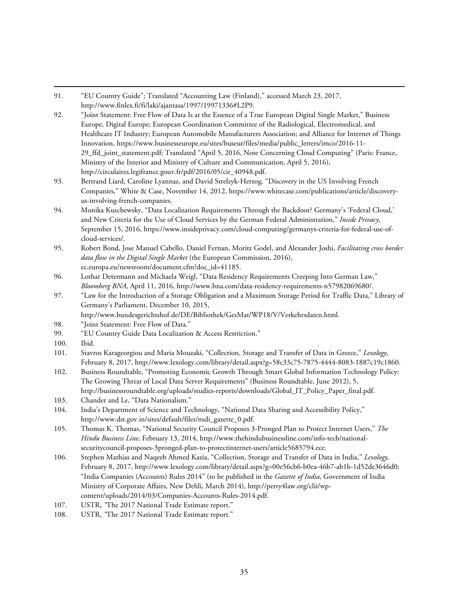- <span id="page-34-0"></span>91. "EU Country Guide"; Translated "Accounting Law (Finland)," accessed March 23, 2017, http://www.finlex.fi/fi/laki/ajantasa/1997/19971336#L2P9.
- <span id="page-34-1"></span>92. "Joint Statement: Free Flow of Data Is at the Essence of a True European Digital Single Market," Business Europe, Digital Europe; European Coordination Committee of the Radiological, Electromedical, and Healthcare IT Industry; European Automobile Manufacturers Association; and Alliance for Internet of Things Innovation, [https://www.businesseurope.eu/sites/buseur/files/media/public\\_letters/imco/2016-11-](https://www.businesseurope.eu/sites/buseur/files/media/public_letters/imco/2016-11-29_ffd_joint_statement.pdf) [29\\_ffd\\_joint\\_statement.pdf;](https://www.businesseurope.eu/sites/buseur/files/media/public_letters/imco/2016-11-29_ffd_joint_statement.pdf) Translated "April 5, 2016, Note Concerning Cloud Computing" (Paris: France, Ministry of the Interior and Ministry of Culture and Communication, April 5, 2016), http://circulaires.legifrance.gouv.fr/pdf/2016/05/cir\_40948.pdf.
- <span id="page-34-2"></span>93. Bertrand Liard, Caroline Lyannaz, and David Strelzyk-Herzog, "Discovery in the US Involving French Companies," White & Case, November 14, 2012, https://www.whitecase.com/publications/article/discoveryus-involving-french-companies.
- <span id="page-34-3"></span>94. Monika Kuschewsky, "Data Localization Requirements Through the Backdoor? Germany's 'Federal Cloud,' and New Criteria for the Use of Cloud Services by the German Federal Administration," *Inside Privacy*, September 15, 2016, https://www.insideprivacy.com/cloud-computing/germanys-criteria-for-federal-use-ofcloud-services/.
- <span id="page-34-4"></span>95. Robert Bond, Jose Manuel Cabello, Daniel Fernan, Moritz Godel, and Alexander Joshi, *Facilitating cross border data flow in the Digital Single Market* (the European Commission, 2016), ec.europa.eu/newsroom/document.cfm?doc\_id=41185.
- <span id="page-34-5"></span>96. Lothar Determann and Michaela Weigl, "Data Residency Requirements Creeping Into German Law," *Bloomberg BNA*, April 11, 2016, http://www.bna.com/data-residency-requirements-n57982069680/.
- <span id="page-34-6"></span>97. "Law for the Introduction of a Storage Obligation and a Maximum Storage Period for Traffic Data," Library of Germany's Parliament, December 10, 2015,
	- http://www.bundesgerichtshof.de/DE/Bibliothek/GesMat/WP18/V/Verkehrsdaten.html.
- <span id="page-34-7"></span>98. "Joint Statement: Free Flow of Data."
- <span id="page-34-8"></span>99. "EU Country Guide Data Localization & Access Restriction."
- <span id="page-34-9"></span>100. Ibid.

1

- <span id="page-34-10"></span>101. Stavros Karageorgiou and Maria Mouzaki, "Collection, Storage and Transfer of Data in Greece," *Lexology*, February 8, 2017, http://www.lexology.com/library/detail.aspx?g=58c33c75-7875-4444-8083-1887c19c1860.
- <span id="page-34-11"></span>102. Business Roundtable, "Promoting Economic Growth Through Smart Global Information Technology Policy: The Growing Threat of Local Data Server Requirements" (Business Roundtable, June 2012), 5, http://businessroundtable.org/uploads/studies-reports/downloads/Global\_IT\_Policy\_Paper\_final.pdf.
- <span id="page-34-12"></span>103. Chander and Le, "Data Nationalism."
- <span id="page-34-13"></span>104. India's Department of Science and Technology, "National Data Sharing and Accessibility Policy," http://www.dst.gov.in/sites/default/files/nsdi\_gazette\_0.pdf.
- <span id="page-34-14"></span>105. Thomas K. Thomas, "National Security Council Proposes 3-Pronged Plan to Protect Internet Users," *The Hindu Business Line,* February 13, 2014, http://www.thehindubusinessline.com/info-tech/nationalsecuritycouncil-proposes-3pronged-plan-to-protectinternet-users/article5685794.ece.
- <span id="page-34-15"></span>106. Stephen Mathias and Naqeeb Ahmed Kazia, "Collection, Storage and Transfer of Data in India," *Lexology,*  February 8, 2017, [http://www.lexology.com/library/detail.aspx?g=00e56cb6-b0ea-46b7-ab1b-1d52de3646d0;](http://www.lexology.com/library/detail.aspx?g=00e56cb6-b0ea-46b7-ab1b-1d52de3646d0)  "India Companies (Accounts) Rules 2014" (to be published in the *Gazette of India*, Government of India Ministry of Corporate Affairs, New Dehli, March 2014), http://perry4law.org/clii/wpcontent/uploads/2014/03/Companies-Accounts-Rules-2014.pdf.
- <span id="page-34-16"></span>107. USTR, *"*The 2017 National Trade Estimate report."
- <span id="page-34-17"></span>108. USTR, *"*The 2017 National Trade Estimate report."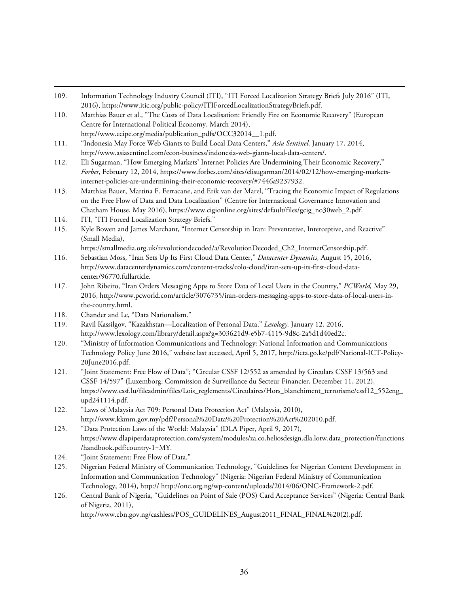- <span id="page-35-0"></span>1 109. Information Technology Industry Council (ITI), "ITI Forced Localization Strategy Briefs July 2016" (ITI, 2016), https://www.itic.org/public-policy/ITIForcedLocalizationStrategyBriefs.pdf.
- <span id="page-35-1"></span>110. Matthias Bauer et al., "The Costs of Data Localisation: Friendly Fire on Economic Recovery" (European Centre for International Political Economy, March 2014), http://www.ecipe.org/media/publication\_pdfs/OCC32014\_\_1.pdf.
- <span id="page-35-2"></span>111. "Indonesia May Force Web Giants to Build Local Data Centers," *Asia Sentinel,* January 17, 2014, http://www.asiasentinel.com/econ-business/indonesia-web-giants-local-data-centers/.
- <span id="page-35-3"></span>112. Eli Sugarman, "How Emerging Markets' Internet Policies Are Undermining Their Economic Recovery," *Forbes*, February 12, 2014, https://www.forbes.com/sites/elisugarman/2014/02/12/how-emerging-marketsinternet-policies-are-undermining-their-economic-recovery/#7446a9237932.
- <span id="page-35-4"></span>113. Matthias Bauer, Martina F. Ferracane, and Erik van der Marel, "Tracing the Economic Impact of Regulations on the Free Flow of Data and Data Localization" (Centre for International Governance Innovation and Chatham House, May 2016), https://www.cigionline.org/sites/default/files/gcig\_no30web\_2.pdf.
- <span id="page-35-5"></span>114. ITI, "ITI Forced Localization Strategy Briefs."
- <span id="page-35-6"></span>115. Kyle Bowen and James Marchant, "Internet Censorship in Iran: Preventative, Interceptive, and Reactive" (Small Media),

https://smallmedia.org.uk/revolutiondecoded/a/RevolutionDecoded\_Ch2\_InternetCensorship.pdf.

- <span id="page-35-7"></span>116. Sebastian Moss, "Iran Sets Up Its First Cloud Data Center," *Datacenter Dynamics,* August 15, 2016, http://www.datacenterdynamics.com/content-tracks/colo-cloud/iran-sets-up-its-first-cloud-datacenter/96770.fullarticle.
- <span id="page-35-8"></span>117. John Ribeiro, "Iran Orders Messaging Apps to Store Data of Local Users in the Country," *PCWorld,* May 29, 2016, http://www.pcworld.com/article/3076735/iran-orders-messaging-apps-to-store-data-of-local-users-inthe-country.html.
- <span id="page-35-9"></span>118. Chander and Le, "Data Nationalism."
- <span id="page-35-10"></span>119. Ravil Kassilgov, "Kazakhstan—Localization of Personal Data," *Lexology,* January 12, 2016, http://www.lexology.com/library/detail.aspx?g=303621d9-e5b7-4115-9d8c-2a5d1d40ed2c.
- <span id="page-35-11"></span>120. "Ministry of Information Communications and Technology: National Information and Communications Technology Policy June 2016," website last accessed, April 5, 2017, http://icta.go.ke/pdf/National-ICT-Policy-20June2016.pdf.
- <span id="page-35-12"></span>121. "Joint Statement: Free Flow of Data"; "Circular CSSF 12/552 as amended by Circulars CSSF 13/563 and CSSF 14/597" (Luxemborg: Commission de Surveillance du Secteur Financier, December 11, 2012), https://www.cssf.lu/fileadmin/files/Lois\_reglements/Circulaires/Hors\_blanchiment\_terrorisme/cssf12\_552eng\_ upd241114.pdf.
- <span id="page-35-13"></span>122. "Laws of Malaysia Act 709: Personal Data Protection Act" (Malaysia, 2010), http://www.kkmm.gov.my/pdf/Personal%20Data%20Protection%20Act%202010.pdf.
- <span id="page-35-14"></span>123. "Data Protection Laws of the World: Malaysia" (DLA Piper, April 9, 2017), https://www.dlapiperdataprotection.com/system/modules/za.co.heliosdesign.dla.lotw.data\_protection/functions /handbook.pdf?country-1=MY.
- <span id="page-35-15"></span>124. "Joint Statement: Free Flow of Data."
- <span id="page-35-16"></span>125. Nigerian Federal Ministry of Communication Technology, "Guidelines for Nigerian Content Development in Information and Communication Technology" (Nigeria: Nigerian Federal Ministry of Communication Technology, 2014), http:// http://onc.org.ng/wp-content/uploads/2014/06/ONC-Framework-2.pdf.
- <span id="page-35-17"></span>126. Central Bank of Nigeria, "Guidelines on Point of Sale (POS) Card Acceptance Services" (Nigeria: Central Bank of Nigeria, 2011),

http://www.cbn.gov.ng/cashless/POS\_GUIDELINES\_August2011\_FINAL\_FINAL%20(2).pdf.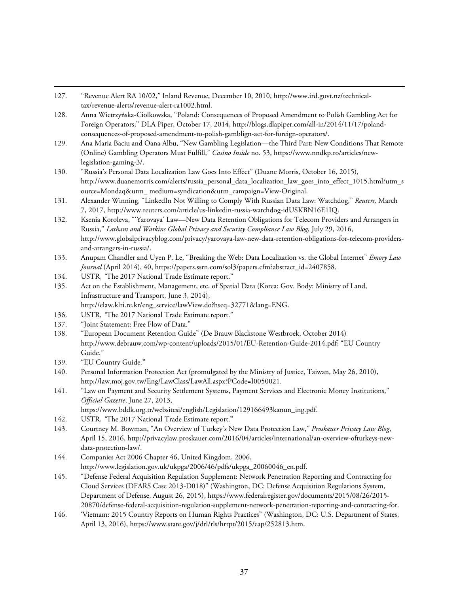- <span id="page-36-0"></span>127. "Revenue Alert RA 10/02," Inland Revenue, December 10, 2010, http://www.ird.govt.nz/technicaltax/revenue-alerts/revenue-alert-ra1002.html.
- <span id="page-36-1"></span>128. Anna Wietrzyńska-Ciolkowska, "Poland: Consequences of Proposed Amendment to Polish Gambling Act for Foreign Operators," DLA Piper, October 17, 2014, http://blogs.dlapiper.com/all-in/2014/11/17/polandconsequences-of-proposed-amendment-to-polish-gamblign-act-for-foreign-operators/.
- <span id="page-36-2"></span>129. Ana Maria Baciu and Oana Albu, "New Gambling Legislation—the Third Part: New Conditions That Remote (Online) Gambling Operators Must Fulfill," *Casino Inside* no. 53, https://www.nndkp.ro/articles/newlegislation-gaming-3/.
- <span id="page-36-3"></span>130. "Russia's Personal Data Localization Law Goes Into Effect" (Duane Morris, October 16, 2015), http://www.duanemorris.com/alerts/russia\_personal\_data\_localization\_law\_goes\_into\_effect\_1015.html?utm\_s ource=Mondaq&utm\_ medium=syndication&utm\_campaign=View-Original.
- <span id="page-36-4"></span>131. Alexander Winning, "LinkedIn Not Willing to Comply With Russian Data Law: Watchdog," *Reuters,* March 7, 2017, http://www.reuters.com/article/us-linkedin-russia-watchdog-idUSKBN16E1IQ.
- <span id="page-36-5"></span>132. Ksenia Koroleva, "'Yarovaya' Law—New Data Retention Obligations for Telecom Providers and Arrangers in Russia," *Latham and Watkins Global Privacy and Security Compliance Law Blog*, July 29, 2016, http://www.globalprivacyblog.com/privacy/yarovaya-law-new-data-retention-obligations-for-telecom-providersand-arrangers-in-russia/.
- <span id="page-36-6"></span>133. Anupam Chandler and Uyen P. Le, "Breaking the Web: Data Localization vs. the Global Internet" *Emory Law Journal* (April 2014), 40, https://papers.ssrn.com/sol3/papers.cfm?abstract\_id=2407858.
- <span id="page-36-7"></span>134. USTR, *"*The 2017 National Trade Estimate report."
- <span id="page-36-8"></span>135. Act on the Establishment, Management, etc. of Spatial Data (Korea: Gov. Body: Ministry of Land, Infrastructure and Transport, June 3, 2014),
	- http://elaw.klri.re.kr/eng\_service/lawView.do?hseq=32771&lang=ENG.
- <span id="page-36-9"></span>136. USTR, *"*The 2017 National Trade Estimate report."
- <span id="page-36-10"></span>137. "Joint Statement: Free Flow of Data."
- <span id="page-36-11"></span>138. "European Document Retention Guide" (De Brauw Blackstone Westbroek, October 2014) [http://www.debrauw.com/wp-content/uploads/2015/01/EU-Retention-Guide-2014.pdf;](http://www.debrauw.com/wp-content/uploads/2015/01/EU-Retention-Guide-2014.pdf) "EU Country Guide."
- <span id="page-36-12"></span>139. "EU Country Guide."

1

- <span id="page-36-13"></span>140. Personal Information Protection Act (promulgated by the Ministry of Justice, Taiwan, May 26, 2010), http://law.moj.gov.tw/Eng/LawClass/LawAll.aspx?PCode=I0050021.
- <span id="page-36-14"></span>141. "Law on Payment and Security Settlement Systems, Payment Services and Electronic Money Institutions," *Official Gazette*, June 27, 2013,

https://www.bddk.org.tr/websitesi/english/Legislation/129166493kanun\_ing.pdf.

- <span id="page-36-15"></span>142. USTR, *"*The 2017 National Trade Estimate report."
- <span id="page-36-16"></span>143. Courtney M. Bowman, "An Overview of Turkey's New Data Protection Law," *Proskauer Privacy Law Blog*, April 15, 2016, http://privacylaw.proskauer.com/2016/04/articles/international/an-overview-ofturkeys-newdata-protection-law/.
- <span id="page-36-17"></span>144. Companies Act 2006 Chapter 46, United Kingdom, 2006, http://www.legislation.gov.uk/ukpga/2006/46/pdfs/ukpga\_20060046\_en.pdf.
- <span id="page-36-18"></span>145. "Defense Federal Acquisition Regulation Supplement: Network Penetration Reporting and Contracting for Cloud Services (DFARS Case 2013-D018)" (Washington, DC: Defense Acquisition Regulations System, Department of Defense, August 26, 2015), https://www.federalregister.gov/documents/2015/08/26/2015- 20870/defense-federal-acquisition-regulation-supplement-network-penetration-reporting-and-contracting-for.
- <span id="page-36-19"></span>146. 'Vietnam: 2015 Country Reports on Human Rights Practices" (Washington, DC: U.S. Department of States, April 13, 2016), https://www.state.gov/j/drl/rls/hrrpt/2015/eap/252813.htm.